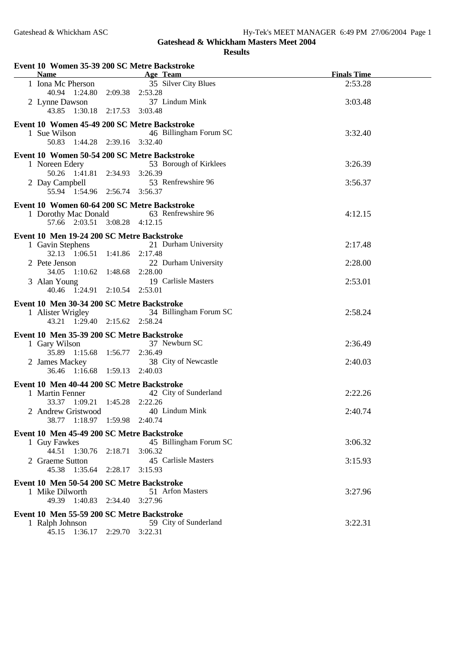## **Gateshead & Whickham Masters Meet 2004 Results**

| Event 10 Women 35-39 200 SC Metre Backstroke<br>Name Age Team |                                          | <b>Finals Time</b> |
|---------------------------------------------------------------|------------------------------------------|--------------------|
| 1 Iona Mc Pherson                                             | 35 Silver City Blues                     | 2:53.28            |
| 40.94  1:24.80  2:09.38  2:53.28                              |                                          |                    |
| 2 Lynne Dawson                                                | 37 Lindum Mink                           | 3:03.48            |
| 43.85 1:30.18 2:17.53 3:03.48                                 |                                          |                    |
| Event 10 Women 45-49 200 SC Metre Backstroke                  |                                          |                    |
| 1 Sue Wilson                                                  | 46 Billingham Forum SC                   | 3:32.40            |
| 50.83 1:44.28 2:39.16 3:32.40                                 |                                          |                    |
| Event 10 Women 50-54 200 SC Metre Backstroke                  |                                          |                    |
| 1 Noreen Edery<br>50.26 1:41.81 2:34.93 3:26.39               | 53 Borough of Kirklees                   | 3:26.39            |
|                                                               | 2 Day Campbell 53 Renfrewshire 96        | 3:56.37            |
| 55.94 1:54.96 2:56.74 3:56.37                                 |                                          |                    |
| Event 10 Women 60-64 200 SC Metre Backstroke                  |                                          |                    |
|                                                               | 1 Dorothy Mac Donald 63 Renfrewshire 96  | 4:12.15            |
| 57.66 2:03.51 3:08.28 4:12.15                                 |                                          |                    |
| Event 10 Men 19-24 200 SC Metre Backstroke                    |                                          |                    |
| 1 Gavin Stephens                                              | 21 Durham University                     | 2:17.48            |
| 32.13 1:06.51 1:41.86 2:17.48                                 |                                          |                    |
| 2 Pete Jenson                                                 | 22 Durham University                     | 2:28.00            |
| 34.05 1:10.62 1:48.68 2:28.00                                 | 19 Carlisle Masters                      | 2:53.01            |
| 3 Alan Young<br>40.46 1:24.91 2:10.54 2:53.01                 |                                          |                    |
|                                                               |                                          |                    |
| Event 10 Men 30-34 200 SC Metre Backstroke                    | 1 Alister Wrigley 34 Billingham Forum SC | 2:58.24            |
| 43.21 1:29.40 2:15.62 2:58.24                                 |                                          |                    |
| Event 10 Men 35-39 200 SC Metre Backstroke                    |                                          |                    |
| 1 Gary Wilson                                                 | 37 Newburn SC                            | 2:36.49            |
| 35.89 1:15.68 1:56.77 2:36.49                                 |                                          |                    |
| 2 James Mackey                                                | 38 City of Newcastle                     | 2:40.03            |
| 36.46 1:16.68 1:59.13 2:40.03                                 |                                          |                    |
| Event 10 Men 40-44 200 SC Metre Backstroke                    |                                          |                    |
| 1 Martin Fenner<br>33.37 1:09.21 1:45.28 2:22.26              | 42 City of Sunderland                    | 2:22.26            |
| 2 Andrew Gristwood                                            | 40 Lindum Mink                           | 2:40.74            |
| 38.77 1:18.97 1:59.98 2:40.74                                 |                                          |                    |
| Event 10 Men 45-49 200 SC Metre Backstroke                    |                                          |                    |
| 1 Guy Fawkes                                                  | 45 Billingham Forum SC                   | 3:06.32            |
| 44.51 1:30.76 2:18.71 3:06.32                                 |                                          |                    |
| 2 Graeme Sutton                                               | 45 Carlisle Masters                      | 3:15.93            |
| 45.38 1:35.64 2:28.17 3:15.93                                 |                                          |                    |
| Event 10 Men 50-54 200 SC Metre Backstroke                    |                                          |                    |
| 1 Mike Dilworth<br>49.39 1:40.83 2:34.40 3:27.96              | 51 Arfon Masters                         | 3:27.96            |
|                                                               |                                          |                    |
| Event 10 Men 55-59 200 SC Metre Backstroke<br>1 Ralph Johnson | 59 City of Sunderland                    | 3:22.31            |
| 45.15 1:36.17 2:29.70 3:22.31                                 |                                          |                    |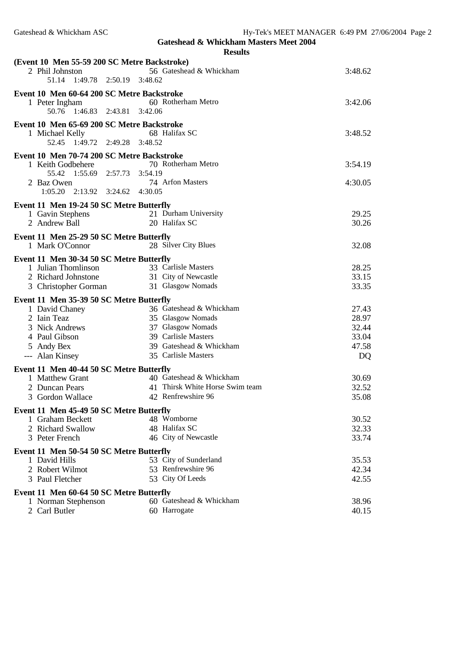**Gateshead & Whickham Masters Meet 2004 Results**

| (Event 10 Men 55-59 200 SC Metre Backstroke) |                                 |         |  |
|----------------------------------------------|---------------------------------|---------|--|
| 2 Phil Johnston                              | 56 Gateshead & Whickham         | 3:48.62 |  |
| 1:49.78 2:50.19<br>51.14                     | 3:48.62                         |         |  |
| Event 10 Men 60-64 200 SC Metre Backstroke   |                                 |         |  |
| 1 Peter Ingham                               | 60 Rotherham Metro              | 3:42.06 |  |
| 50.76 1:46.83 2:43.81 3:42.06                |                                 |         |  |
| Event 10 Men 65-69 200 SC Metre Backstroke   |                                 |         |  |
| 1 Michael Kelly                              | 68 Halifax SC                   | 3:48.52 |  |
| 52.45 1:49.72 2:49.28 3:48.52                |                                 |         |  |
| Event 10 Men 70-74 200 SC Metre Backstroke   |                                 |         |  |
| 1 Keith Godbehere                            | 70 Rotherham Metro              | 3:54.19 |  |
| 55.42 1:55.69 2:57.73 3:54.19                |                                 |         |  |
| 2 Baz Owen                                   | 74 Arfon Masters                | 4:30.05 |  |
| 1:05.20 2:13.92 3:24.62 4:30.05              |                                 |         |  |
| Event 11 Men 19-24 50 SC Metre Butterfly     |                                 |         |  |
| 1 Gavin Stephens                             | 21 Durham University            | 29.25   |  |
| 2 Andrew Ball                                | 20 Halifax SC                   | 30.26   |  |
| Event 11 Men 25-29 50 SC Metre Butterfly     |                                 |         |  |
| 1 Mark O'Connor                              | 28 Silver City Blues            | 32.08   |  |
| Event 11 Men 30-34 50 SC Metre Butterfly     |                                 |         |  |
| 1 Julian Thomlinson                          | 33 Carlisle Masters             | 28.25   |  |
| 2 Richard Johnstone                          | 31 City of Newcastle            | 33.15   |  |
| 3 Christopher Gorman                         | 31 Glasgow Nomads               | 33.35   |  |
| Event 11 Men 35-39 50 SC Metre Butterfly     |                                 |         |  |
| 1 David Chaney                               | 36 Gateshead & Whickham         | 27.43   |  |
| 2 Iain Teaz                                  | 35 Glasgow Nomads               | 28.97   |  |
| 3 Nick Andrews                               | 37 Glasgow Nomads               | 32.44   |  |
| 4 Paul Gibson                                | 39 Carlisle Masters             | 33.04   |  |
| 5 Andy Bex                                   | 39 Gateshead & Whickham         | 47.58   |  |
| --- Alan Kinsey                              | 35 Carlisle Masters             | DQ      |  |
| Event 11 Men 40-44 50 SC Metre Butterfly     |                                 |         |  |
| 1 Matthew Grant                              | 40 Gateshead & Whickham         | 30.69   |  |
| 2 Duncan Pears                               | 41 Thirsk White Horse Swim team | 32.52   |  |
| 3 Gordon Wallace                             | 42 Renfrewshire 96              | 35.08   |  |
| Event 11 Men 45-49 50 SC Metre Butterfly     |                                 |         |  |
| 1 Graham Beckett                             | 48 Womborne                     | 30.52   |  |
| 2 Richard Swallow                            | 48 Halifax SC                   | 32.33   |  |
| 3 Peter French                               | 46 City of Newcastle            | 33.74   |  |
| Event 11 Men 50-54 50 SC Metre Butterfly     |                                 |         |  |
| 1 David Hills                                | 53 City of Sunderland           | 35.53   |  |
| 2 Robert Wilmot                              | 53 Renfrewshire 96              | 42.34   |  |
| 3 Paul Fletcher                              | 53 City Of Leeds                | 42.55   |  |
| Event 11 Men 60-64 50 SC Metre Butterfly     |                                 |         |  |
| 1 Norman Stephenson                          | 60 Gateshead & Whickham         | 38.96   |  |
| 2 Carl Butler                                | 60 Harrogate                    | 40.15   |  |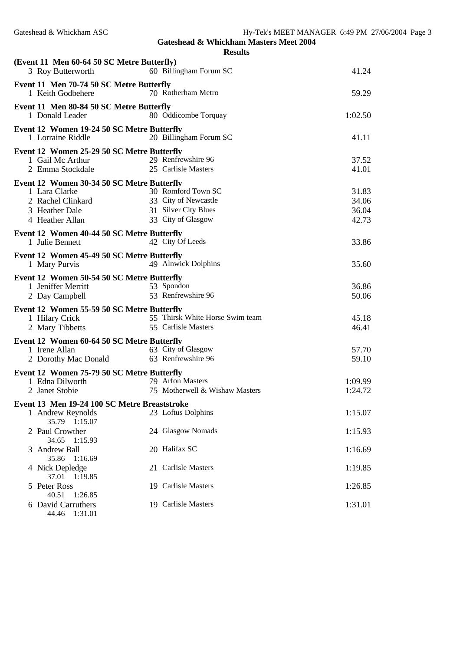| п<br>Ш<br>Qı |
|--------------|
|--------------|

| 60 Billingham Forum SC<br>3 Roy Butterworth                                        |                |
|------------------------------------------------------------------------------------|----------------|
| Event 11 Men 70-74 50 SC Metre Butterfly                                           |                |
| 70 Rotherham Metro<br>1 Keith Godbehere                                            | 59.29          |
| Event 11 Men 80-84 50 SC Metre Butterfly                                           |                |
| 80 Oddicombe Torquay<br>1 Donald Leader                                            | 1:02.50        |
| Event 12 Women 19-24 50 SC Metre Butterfly                                         |                |
| 20 Billingham Forum SC<br>1 Lorraine Riddle                                        | 41.11          |
| Event 12 Women 25-29 50 SC Metre Butterfly                                         |                |
| 29 Renfrewshire 96<br>1 Gail Mc Arthur                                             | 37.52          |
| 25 Carlisle Masters<br>2 Emma Stockdale                                            | 41.01          |
| Event 12 Women 30-34 50 SC Metre Butterfly<br>30 Romford Town SC<br>1 Lara Clarke  |                |
| 33 City of Newcastle<br>2 Rachel Clinkard                                          | 31.83<br>34.06 |
| 31 Silver City Blues<br>3 Heather Dale                                             | 36.04          |
| 33 City of Glasgow<br>4 Heather Allan                                              | 42.73          |
|                                                                                    |                |
| Event 12 Women 40-44 50 SC Metre Butterfly<br>42 City Of Leeds<br>1 Julie Bennett  | 33.86          |
|                                                                                    |                |
| Event 12 Women 45-49 50 SC Metre Butterfly<br>49 Alnwick Dolphins<br>1 Mary Purvis | 35.60          |
|                                                                                    |                |
| Event 12 Women 50-54 50 SC Metre Butterfly<br>1 Jeniffer Merritt<br>53 Spondon     | 36.86          |
| 53 Renfrewshire 96<br>2 Day Campbell                                               | 50.06          |
| Event 12 Women 55-59 50 SC Metre Butterfly                                         |                |
| 55 Thirsk White Horse Swim team<br>1 Hilary Crick                                  | 45.18          |
| 55 Carlisle Masters<br>2 Mary Tibbetts                                             | 46.41          |
| Event 12 Women 60-64 50 SC Metre Butterfly                                         |                |
| 63 City of Glasgow<br>1 Irene Allan                                                | 57.70          |
| 63 Renfrewshire 96<br>2 Dorothy Mac Donald                                         | 59.10          |
| Event 12 Women 75-79 50 SC Metre Butterfly                                         |                |
| 1 Edna Dilworth<br>79 Arfon Masters                                                | 1:09.99        |
| 75 Motherwell & Wishaw Masters<br>2 Janet Stobie                                   | 1:24.72        |
| Event 13 Men 19-24 100 SC Metre Breaststroke                                       |                |
| 23 Loftus Dolphins<br>1 Andrew Reynolds                                            | 1:15.07        |
| 35.79 1:15.07                                                                      |                |
| 24 Glasgow Nomads<br>2 Paul Crowther<br>34.65<br>1:15.93                           | 1:15.93        |
| 20 Halifax SC<br><b>Andrew Ball</b>                                                | 1:16.69        |
| 35.86<br>1:16.69                                                                   |                |
| 21 Carlisle Masters<br>4 Nick Depledge                                             | 1:19.85        |
| 37.01 1:19.85                                                                      |                |
| Peter Ross<br>19 Carlisle Masters<br>5.<br>40.51<br>1:26.85                        | 1:26.85        |
| 19 Carlisle Masters<br>6 David Carruthers                                          | 1:31.01        |

- - 44.46 1:31.01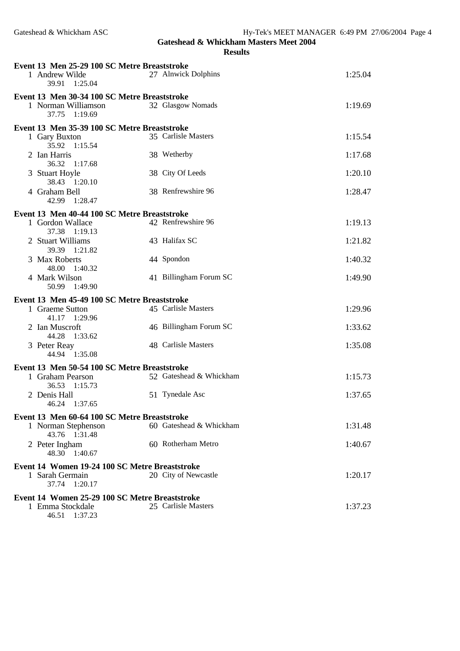**Gateshead & Whickham Masters Meet 2004 Results**

| Event 13 Men 25-29 100 SC Metre Breaststroke<br>1 Andrew Wilde<br>39.91 1:25.04         | 27 Alnwick Dolphins     | 1:25.04 |
|-----------------------------------------------------------------------------------------|-------------------------|---------|
| Event 13 Men 30-34 100 SC Metre Breaststroke<br>1 Norman Williamson<br>37.75<br>1:19.69 | 32 Glasgow Nomads       | 1:19.69 |
| Event 13 Men 35-39 100 SC Metre Breaststroke                                            |                         |         |
| 1 Gary Buxton<br>35.92 1:15.54                                                          | 35 Carlisle Masters     | 1:15.54 |
| 2 Ian Harris<br>36.32 1:17.68                                                           | 38 Wetherby             | 1:17.68 |
| 3 Stuart Hoyle<br>38.43 1:20.10                                                         | 38 City Of Leeds        | 1:20.10 |
| 4 Graham Bell<br>42.99 1:28.47                                                          | 38 Renfrewshire 96      | 1:28.47 |
| Event 13 Men 40-44 100 SC Metre Breaststroke                                            |                         |         |
| 1 Gordon Wallace<br>37.38 1:19.13                                                       | 42 Renfrewshire 96      | 1:19.13 |
| 2 Stuart Williams<br>39.39 1:21.82                                                      | 43 Halifax SC           | 1:21.82 |
| 3 Max Roberts<br>48.00 1:40.32                                                          | 44 Spondon              | 1:40.32 |
| 4 Mark Wilson<br>50.99 1:49.90                                                          | 41 Billingham Forum SC  | 1:49.90 |
| Event 13 Men 45-49 100 SC Metre Breaststroke                                            |                         |         |
| 1 Graeme Sutton<br>41.17 1:29.96                                                        | 45 Carlisle Masters     | 1:29.96 |
| 2 Ian Muscroft<br>1:33.62<br>44.28                                                      | 46 Billingham Forum SC  | 1:33.62 |
| 3 Peter Reay<br>44.94 1:35.08                                                           | 48 Carlisle Masters     | 1:35.08 |
| Event 13 Men 50-54 100 SC Metre Breaststroke                                            |                         |         |
| 1 Graham Pearson<br>36.53 1:15.73                                                       | 52 Gateshead & Whickham | 1:15.73 |
| 2 Denis Hall<br>46.24 1:37.65                                                           | 51 Tynedale Asc         | 1:37.65 |
| Event 13 Men 60-64 100 SC Metre Breaststroke                                            |                         |         |
| 1 Norman Stephenson<br>43.76 1:31.48                                                    | 60 Gateshead & Whickham | 1:31.48 |
| 2 Peter Ingham<br>48.30 1:40.67                                                         | 60 Rotherham Metro      | 1:40.67 |
| Event 14 Women 19-24 100 SC Metre Breaststroke                                          |                         |         |
| 1 Sarah Germain<br>37.74<br>1:20.17                                                     | 20 City of Newcastle    | 1:20.17 |
| Event 14 Women 25-29 100 SC Metre Breaststroke                                          |                         |         |
| 1 Emma Stockdale<br>46.51 1:37.23                                                       | 25 Carlisle Masters     | 1:37.23 |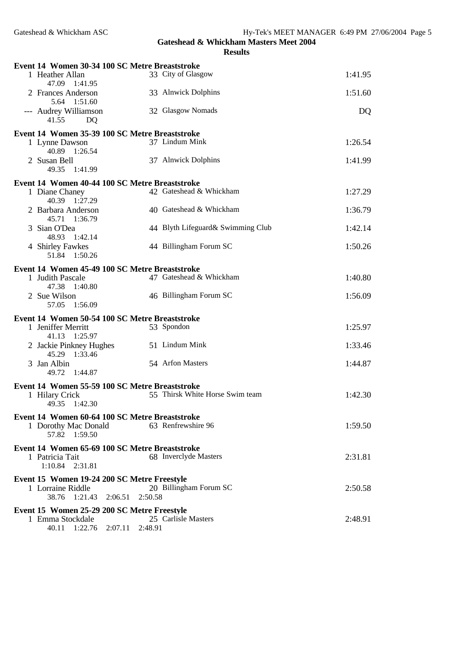| Event 14 Women 30-34 100 SC Metre Breaststroke |                                   |         |
|------------------------------------------------|-----------------------------------|---------|
| 1 Heather Allan<br>47.09 1:41.95               | 33 City of Glasgow                | 1:41.95 |
| 2 Frances Anderson<br>5.64 1:51.60             | 33 Alnwick Dolphins               | 1:51.60 |
| --- Audrey Williamson<br>41.55<br>DQ           | 32 Glasgow Nomads                 | DQ      |
| Event 14 Women 35-39 100 SC Metre Breaststroke |                                   |         |
| 1 Lynne Dawson<br>40.89 1:26.54                | 37 Lindum Mink                    | 1:26.54 |
| 2 Susan Bell<br>49.35 1:41.99                  | 37 Alnwick Dolphins               | 1:41.99 |
| Event 14 Women 40-44 100 SC Metre Breaststroke |                                   |         |
| 1 Diane Chaney<br>40.39 1:27.29                | 42 Gateshead & Whickham           | 1:27.29 |
| 2 Barbara Anderson<br>45.71 1:36.79            | 40 Gateshead & Whickham           | 1:36.79 |
| 3 Sian O'Dea<br>48.93 1:42.14                  | 44 Blyth Lifeguard& Swimming Club | 1:42.14 |
| 4 Shirley Fawkes<br>51.84 1:50.26              | 44 Billingham Forum SC            | 1:50.26 |
| Event 14 Women 45-49 100 SC Metre Breaststroke |                                   |         |
| 1 Judith Pascale<br>47.38 1:40.80              | 47 Gateshead & Whickham           | 1:40.80 |
| 2 Sue Wilson<br>57.05 1:56.09                  | 46 Billingham Forum SC            | 1:56.09 |
| Event 14 Women 50-54 100 SC Metre Breaststroke |                                   |         |
| 1 Jeniffer Merritt<br>41.13 1:25.97            | 53 Spondon                        | 1:25.97 |
| 2 Jackie Pinkney Hughes<br>45.29 1:33.46       | 51 Lindum Mink                    | 1:33.46 |
| 3 Jan Albin<br>49.72 1:44.87                   | 54 Arfon Masters                  | 1:44.87 |
| Event 14 Women 55-59 100 SC Metre Breaststroke |                                   |         |
| 1 Hilary Crick<br>49.35 1:42.30                | 55 Thirsk White Horse Swim team   | 1:42.30 |
| Event 14 Women 60-64 100 SC Metre Breaststroke |                                   |         |
| 1 Dorothy Mac Donald<br>57.82 1:59.50          | 63 Renfrewshire 96                | 1:59.50 |
| Event 14 Women 65-69 100 SC Metre Breaststroke |                                   |         |
| 1 Patricia Tait<br>1:10.84 2:31.81             | 68 Inverclyde Masters             | 2:31.81 |
| Event 15 Women 19-24 200 SC Metre Freestyle    |                                   |         |
| 1 Lorraine Riddle<br>38.76 1:21.43<br>2:06.51  | 20 Billingham Forum SC<br>2:50.58 | 2:50.58 |
| Event 15 Women 25-29 200 SC Metre Freestyle    |                                   |         |
| 1 Emma Stockdale<br>40.11 1:22.76 2:07.11      | 25 Carlisle Masters<br>2:48.91    | 2:48.91 |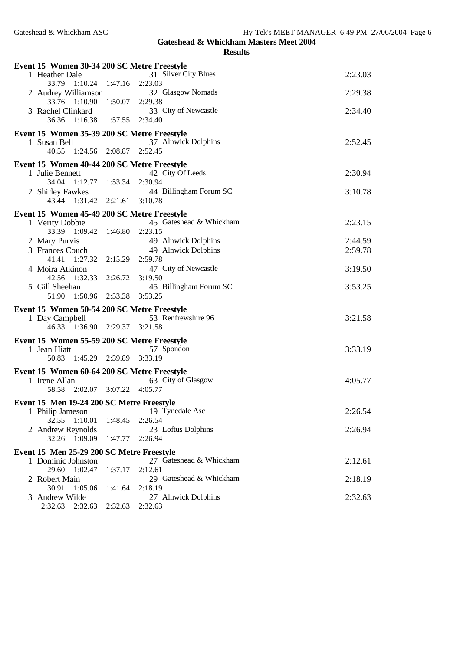**Gateshead & Whickham Masters Meet 2004 Results**

| Event 15 Women 30-34 200 SC Metre Freestyle                     |                   |                                |         |
|-----------------------------------------------------------------|-------------------|--------------------------------|---------|
| 1 Heather Dale                                                  |                   | 31 Silver City Blues           | 2:23.03 |
| 33.79 1:10.24 1:47.16 2:23.03                                   |                   |                                |         |
| 2 Audrey Williamson                                             |                   | 32 Glasgow Nomads              | 2:29.38 |
| 33.76 1:10.90                                                   | $1:50.07$ 2:29.38 |                                |         |
| 3 Rachel Clinkard                                               |                   | 33 City of Newcastle           | 2:34.40 |
| 36.36<br>1:16.38 1:57.55 2:34.40                                |                   |                                |         |
| Event 15 Women 35-39 200 SC Metre Freestyle                     |                   |                                |         |
| 1 Susan Bell                                                    |                   | 37 Alnwick Dolphins            | 2:52.45 |
| 40.55 1:24.56 2:08.87                                           |                   | 2:52.45                        |         |
| Event 15 Women 40-44 200 SC Metre Freestyle                     |                   |                                |         |
| 1 Julie Bennett                                                 |                   | 42 City Of Leeds               | 2:30.94 |
| 34.04 1:12.77 1:53.34                                           |                   | 2:30.94                        |         |
| 2 Shirley Fawkes                                                |                   | 44 Billingham Forum SC         | 3:10.78 |
| 43.44 1:31.42 2:21.61 3:10.78                                   |                   |                                |         |
| Event 15 Women 45-49 200 SC Metre Freestyle                     |                   |                                |         |
| 1 Verity Dobbie                                                 |                   | 45 Gateshead & Whickham        | 2:23.15 |
| 33.39 1:09.42                                                   | 1:46.80 2:23.15   |                                |         |
| 2 Mary Purvis<br>3 Frances Couch                                |                   | 49 Alnwick Dolphins            | 2:44.59 |
| 41.41 1:27.32                                                   | 2:15.29 2:59.78   | 49 Alnwick Dolphins            | 2:59.78 |
| 4 Moira Atkinon                                                 |                   | 47 City of Newcastle           | 3:19.50 |
| 42.56 1:32.33                                                   | 2:26.72           | 3:19.50                        |         |
| 5 Gill Sheehan                                                  |                   | 45 Billingham Forum SC         | 3:53.25 |
| 51.90 1:50.96 2:53.38                                           |                   | 3:53.25                        |         |
| Event 15 Women 50-54 200 SC Metre Freestyle                     |                   |                                |         |
| 1 Day Campbell                                                  |                   | 53 Renfrewshire 96             | 3:21.58 |
| 46.33 1:36.90 2:29.37 3:21.58                                   |                   |                                |         |
| Event 15 Women 55-59 200 SC Metre Freestyle                     |                   |                                |         |
|                                                                 |                   |                                |         |
|                                                                 |                   |                                |         |
| 1 Jean Hiatt<br>50.83 1:45.29 2:39.89 3:33.19                   |                   | 57 Spondon                     | 3:33.19 |
|                                                                 |                   |                                |         |
| Event 15 Women 60-64 200 SC Metre Freestyle                     |                   |                                | 4:05.77 |
| 1 Irene Allan<br>58.58 2:02.07 3:07.22 4:05.77                  |                   | 63 City of Glasgow             |         |
|                                                                 |                   |                                |         |
| Event 15 Men 19-24 200 SC Metre Freestyle                       |                   |                                |         |
| 1 Philip Jameson<br>32.55<br>1:10.01                            | 1:48.45           | 19 Tynedale Asc<br>2:26.54     | 2:26.54 |
| 2 Andrew Reynolds                                               |                   | 23 Loftus Dolphins             | 2:26.94 |
| 32.26 1:09.09                                                   | 1:47.77           | 2:26.94                        |         |
|                                                                 |                   |                                |         |
| Event 15 Men 25-29 200 SC Metre Freestyle<br>1 Dominic Johnston |                   | 27 Gateshead & Whickham        | 2:12.61 |
| 29.60 1:02.47                                                   | 1:37.17           | 2:12.61                        |         |
| 2 Robert Main                                                   |                   | 29 Gateshead & Whickham        | 2:18.19 |
| 30.91<br>1:05.06                                                | 1:41.64           | 2:18.19                        |         |
| 3 Andrew Wilde<br>2:32.63 2:32.63                               | 2:32.63           | 27 Alnwick Dolphins<br>2:32.63 | 2:32.63 |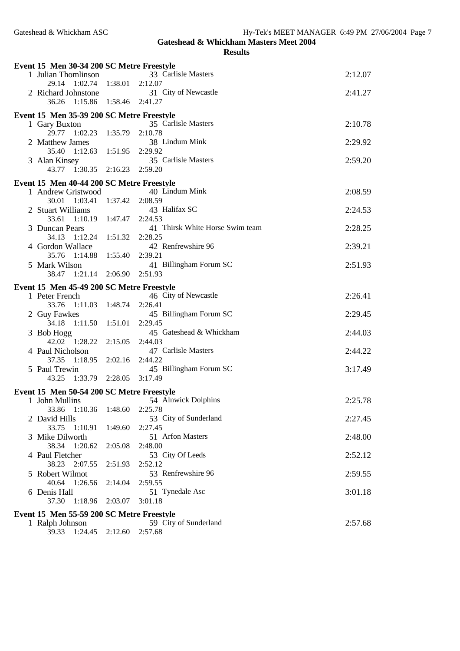| Event 15 Men 30-34 200 SC Metre Freestyle |                 |                                    |         |
|-------------------------------------------|-----------------|------------------------------------|---------|
| 1 Julian Thomlinson                       |                 | 33 Carlisle Masters                | 2:12.07 |
| 29.14 1:02.74                             | 1:38.01         | 2:12.07                            |         |
| 2 Richard Johnstone                       |                 | 31 City of Newcastle               | 2:41.27 |
| 36.26 1:15.86 1:58.46                     |                 | 2:41.27                            |         |
| Event 15 Men 35-39 200 SC Metre Freestyle |                 |                                    |         |
| 1 Gary Buxton                             |                 | 35 Carlisle Masters                | 2:10.78 |
| 29.77 1:02.23                             | 1:35.79 2:10.78 |                                    |         |
| 2 Matthew James                           |                 | 38 Lindum Mink                     | 2:29.92 |
| 35.40<br>1:12.63                          | 1:51.95 2:29.92 |                                    |         |
| 3 Alan Kinsey<br>43.77 1:30.35 2:16.23    |                 | 35 Carlisle Masters<br>2:59.20     | 2:59.20 |
|                                           |                 |                                    |         |
| Event 15 Men 40-44 200 SC Metre Freestyle |                 |                                    |         |
| 1 Andrew Gristwood                        |                 | 40 Lindum Mink                     | 2:08.59 |
| 30.01 1:03.41 1:37.42                     |                 | 2:08.59                            |         |
| 2 Stuart Williams<br>33.61 1:10.19        | 1:47.47         | 43 Halifax SC<br>2:24.53           | 2:24.53 |
| 3 Duncan Pears                            |                 | 41 Thirsk White Horse Swim team    | 2:28.25 |
| 34.13 1:12.24                             | 1:51.32         | 2:28.25                            |         |
| 4 Gordon Wallace                          |                 | 42 Renfrewshire 96                 | 2:39.21 |
| 35.76 1:14.88                             | 1:55.40         | 2:39.21                            |         |
| 5 Mark Wilson                             |                 | 41 Billingham Forum SC             | 2:51.93 |
| 38.47 1:21.14                             | 2:06.90         | 2:51.93                            |         |
| Event 15 Men 45-49 200 SC Metre Freestyle |                 |                                    |         |
| 1 Peter French                            |                 | 46 City of Newcastle               | 2:26.41 |
| 33.76<br>1:11.03                          | 1:48.74         | 2:26.41                            |         |
| 2 Guy Fawkes                              |                 | 45 Billingham Forum SC             | 2:29.45 |
| 1:11.50<br>34.18                          | 1:51.01         | 2:29.45<br>45 Gateshead & Whickham | 2:44.03 |
| 3 Bob Hogg<br>42.02 1:28.22               | 2:15.05         | 2:44.03                            |         |
| 4 Paul Nicholson                          |                 | 47 Carlisle Masters                | 2:44.22 |
| 37.35 1:18.95                             | 2:02.16         | 2:44.22                            |         |
| 5 Paul Trewin                             |                 | 45 Billingham Forum SC             | 3:17.49 |
| 1:33.79 2:28.05<br>43.25                  |                 | 3:17.49                            |         |
| Event 15 Men 50-54 200 SC Metre Freestyle |                 |                                    |         |
| 1 John Mullins                            |                 | 54 Alnwick Dolphins                | 2:25.78 |
| 33.86 1:10.36 1:48.60 2:25.78             |                 |                                    |         |
| 2 David Hills                             |                 | 53 City of Sunderland              | 2:27.45 |
| 33.75<br>1:10.91                          | 1:49.60         | 2:27.45                            |         |
| 3 Mike Dilworth                           |                 | 51 Arfon Masters                   | 2:48.00 |
| 38.34 1:20.62                             | 2:05.08         | 2:48.00                            |         |
| 4 Paul Fletcher<br>38.23 2:07.55          | 2:51.93         | 53 City Of Leeds<br>2:52.12        | 2:52.12 |
| 5 Robert Wilmot                           |                 | 53 Renfrewshire 96                 | 2:59.55 |
| 40.64 1:26.56                             | 2:14.04         | 2:59.55                            |         |
| 6 Denis Hall                              |                 | 51 Tynedale Asc                    | 3:01.18 |
| 37.30<br>1:18.96                          | 2:03.07         | 3:01.18                            |         |
| Event 15 Men 55-59 200 SC Metre Freestyle |                 |                                    |         |
| 1 Ralph Johnson                           |                 | 59 City of Sunderland              | 2:57.68 |
| 39.33<br>1:24.45                          | 2:12.60         | 2:57.68                            |         |
|                                           |                 |                                    |         |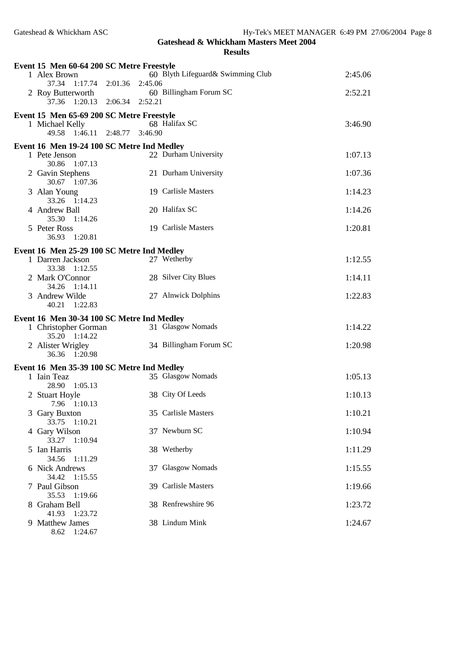8.62 1:24.67

**Gateshead & Whickham Masters Meet 2004**

|   | Event 15 Men 60-64 200 SC Metre Freestyle         |                               |                                   |         |
|---|---------------------------------------------------|-------------------------------|-----------------------------------|---------|
|   | 1 Alex Brown                                      |                               | 60 Blyth Lifeguard& Swimming Club | 2:45.06 |
|   | 37.34<br>$1:17.74$ $2:01.36$<br>2 Roy Butterworth | 2:45.06                       | 60 Billingham Forum SC            | 2:52.21 |
|   |                                                   | 37.36 1:20.13 2:06.34 2:52.21 |                                   |         |
|   | Event 15 Men 65-69 200 SC Metre Freestyle         |                               |                                   |         |
|   | 1 Michael Kelly                                   |                               | 68 Halifax SC                     | 3:46.90 |
|   | 49.58 1:46.11 2:48.77                             | 3:46.90                       |                                   |         |
|   | Event 16 Men 19-24 100 SC Metre Ind Medley        |                               |                                   |         |
|   | 1 Pete Jenson<br>30.86<br>1:07.13                 |                               | 22 Durham University              | 1:07.13 |
|   | 2 Gavin Stephens<br>30.67 1:07.36                 |                               | 21 Durham University              | 1:07.36 |
|   | 3 Alan Young<br>33.26 1:14.23                     |                               | 19 Carlisle Masters               | 1:14.23 |
|   | 4 Andrew Ball<br>35.30 1:14.26                    |                               | 20 Halifax SC                     | 1:14.26 |
|   | 5 Peter Ross<br>1:20.81<br>36.93                  |                               | 19 Carlisle Masters               | 1:20.81 |
|   | Event 16 Men 25-29 100 SC Metre Ind Medley        |                               |                                   |         |
|   | 1 Darren Jackson<br>33.38 1:12.55                 |                               | 27 Wetherby                       | 1:12.55 |
|   | 2 Mark O'Connor<br>34.26 1:14.11                  |                               | 28 Silver City Blues              | 1:14.11 |
|   | 3 Andrew Wilde<br>40.21 1:22.83                   |                               | 27 Alnwick Dolphins               | 1:22.83 |
|   | Event 16 Men 30-34 100 SC Metre Ind Medley        |                               |                                   |         |
|   | 1 Christopher Gorman<br>$35.20 \quad 1:14.22$     |                               | 31 Glasgow Nomads                 | 1:14.22 |
|   | 2 Alister Wrigley<br>36.36 1:20.98                |                               | 34 Billingham Forum SC            | 1:20.98 |
|   | Event 16 Men 35-39 100 SC Metre Ind Medley        |                               |                                   |         |
|   | 1 Iain Teaz<br>1:05.13<br>28.90                   |                               | 35 Glasgow Nomads                 | 1:05.13 |
|   | 2 Stuart Hoyle<br>7.96<br>1:10.13                 |                               | 38 City Of Leeds                  | 1:10.13 |
|   | 3 Gary Buxton<br>33.75<br>1:10.21                 |                               | 35 Carlisle Masters               | 1:10.21 |
|   | 4 Gary Wilson<br>33.27<br>1:10.94                 |                               | 37 Newburn SC                     | 1:10.94 |
| 5 | Ian Harris<br>34.56<br>1:11.29                    |                               | 38 Wetherby                       | 1:11.29 |
|   | 6 Nick Andrews<br>34.42<br>1:15.55                |                               | 37 Glasgow Nomads                 | 1:15.55 |
|   | 7 Paul Gibson<br>35.53<br>1:19.66                 |                               | 39 Carlisle Masters               | 1:19.66 |
|   | 8 Graham Bell<br>41.93<br>1:23.72                 |                               | 38 Renfrewshire 96                | 1:23.72 |
|   | 9 Matthew James                                   |                               | 38 Lindum Mink                    | 1:24.67 |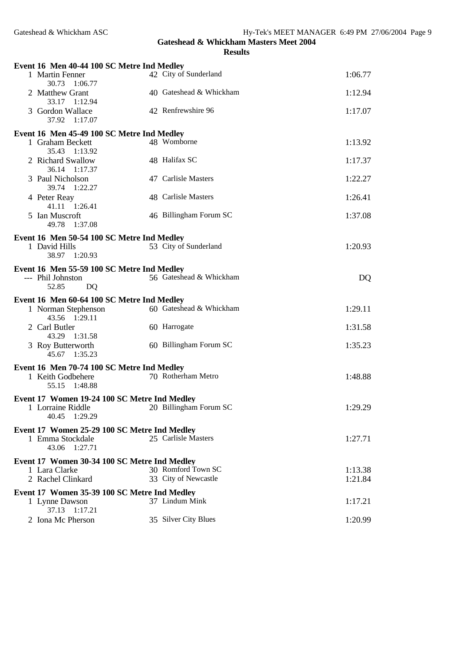| Event 16 Men 40-44 100 SC Metre Ind Medley                                            |                                            |                    |
|---------------------------------------------------------------------------------------|--------------------------------------------|--------------------|
| 1 Martin Fenner<br>30.73<br>1:06.77                                                   | 42 City of Sunderland                      | 1:06.77            |
| 2 Matthew Grant<br>33.17<br>1:12.94                                                   | 40 Gateshead & Whickham                    | 1:12.94            |
| 3 Gordon Wallace<br>37.92<br>1:17.07                                                  | 42 Renfrewshire 96                         | 1:17.07            |
| Event 16 Men 45-49 100 SC Metre Ind Medley                                            |                                            |                    |
| 1 Graham Beckett<br>35.43 1:13.92                                                     | 48 Womborne                                | 1:13.92            |
| 2 Richard Swallow<br>36.14 1:17.37                                                    | 48 Halifax SC                              | 1:17.37            |
| 3 Paul Nicholson<br>39.74 1:22.27                                                     | 47 Carlisle Masters                        | 1:22.27            |
| 4 Peter Reay<br>41.11 1:26.41                                                         | 48 Carlisle Masters                        | 1:26.41            |
| 5 Ian Muscroft<br>49.78<br>1:37.08                                                    | 46 Billingham Forum SC                     | 1:37.08            |
| Event 16 Men 50-54 100 SC Metre Ind Medley                                            |                                            |                    |
| 1 David Hills<br>38.97 1:20.93                                                        | 53 City of Sunderland                      | 1:20.93            |
| Event 16 Men 55-59 100 SC Metre Ind Medley                                            |                                            |                    |
| --- Phil Johnston<br>52.85<br>DQ                                                      | 56 Gateshead & Whickham                    | DQ                 |
| Event 16 Men 60-64 100 SC Metre Ind Medley                                            |                                            |                    |
| 1 Norman Stephenson<br>43.56 1:29.11                                                  | 60 Gateshead & Whickham                    | 1:29.11            |
| 2 Carl Butler<br>43.29 1:31.58                                                        | 60 Harrogate                               | 1:31.58            |
| 3 Roy Butterworth<br>45.67 1:35.23                                                    | 60 Billingham Forum SC                     | 1:35.23            |
| Event 16 Men 70-74 100 SC Metre Ind Medley                                            |                                            |                    |
| 1 Keith Godbehere<br>55.15<br>1:48.88                                                 | 70 Rotherham Metro                         | 1:48.88            |
|                                                                                       |                                            |                    |
|                                                                                       |                                            |                    |
| Event 17 Women 19-24 100 SC Metre Ind Medley<br>1 Lorraine Riddle<br>40.45<br>1:29.29 | 20 Billingham Forum SC                     | 1:29.29            |
|                                                                                       |                                            |                    |
| Event 17 Women 25-29 100 SC Metre Ind Medley<br>1 Emma Stockdale<br>43.06 1:27.71     | 25 Carlisle Masters                        | 1:27.71            |
|                                                                                       |                                            |                    |
| Event 17 Women 30-34 100 SC Metre Ind Medley                                          |                                            |                    |
| 1 Lara Clarke<br>2 Rachel Clinkard                                                    | 30 Romford Town SC<br>33 City of Newcastle | 1:13.38<br>1:21.84 |
| Event 17 Women 35-39 100 SC Metre Ind Medley                                          |                                            |                    |
| 1 Lynne Dawson<br>1:17.21<br>37.13<br>2 Iona Mc Pherson                               | 37 Lindum Mink<br>35 Silver City Blues     | 1:17.21<br>1:20.99 |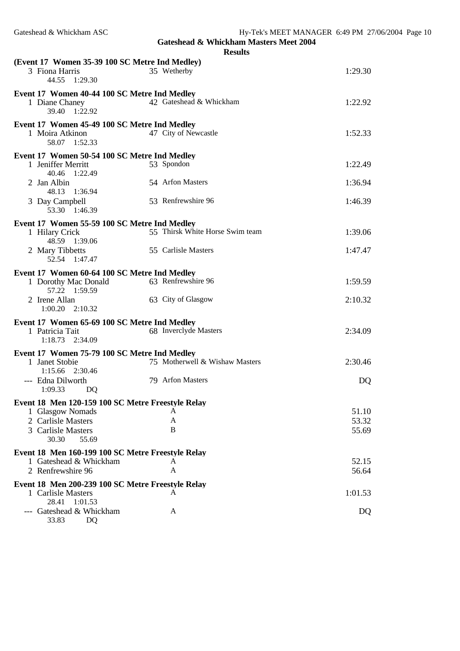| (Event 17 Women 35-39 100 SC Metre Ind Medley)                          |                                 |         |
|-------------------------------------------------------------------------|---------------------------------|---------|
| 3 Fiona Harris<br>44.55<br>1:29.30                                      | 35 Wetherby                     | 1:29.30 |
| Event 17 Women 40-44 100 SC Metre Ind Medley                            |                                 |         |
| 1 Diane Chaney<br>39.40 1:22.92                                         | 42 Gateshead & Whickham         | 1:22.92 |
| Event 17 Women 45-49 100 SC Metre Ind Medley                            |                                 |         |
| 1 Moira Atkinon                                                         | 47 City of Newcastle            | 1:52.33 |
| 58.07 1:52.33                                                           |                                 |         |
| Event 17 Women 50-54 100 SC Metre Ind Medley                            |                                 |         |
| 1 Jeniffer Merritt                                                      | 53 Spondon                      | 1:22.49 |
| 40.46 1:22.49                                                           |                                 |         |
| 2 Jan Albin                                                             | 54 Arfon Masters                | 1:36.94 |
| 48.13<br>1:36.94                                                        |                                 |         |
| 3 Day Campbell                                                          | 53 Renfrewshire 96              | 1:46.39 |
| 53.30 1:46.39                                                           |                                 |         |
| Event 17 Women 55-59 100 SC Metre Ind Medley                            |                                 |         |
| 1 Hilary Crick                                                          | 55 Thirsk White Horse Swim team | 1:39.06 |
| 48.59 1:39.06                                                           |                                 |         |
| 2 Mary Tibbetts                                                         | 55 Carlisle Masters             | 1:47.47 |
| 52.54 1:47.47                                                           |                                 |         |
| Event 17 Women 60-64 100 SC Metre Ind Medley                            |                                 |         |
| 1 Dorothy Mac Donald                                                    | 63 Renfrewshire 96              | 1:59.59 |
| 57.22 1:59.59                                                           |                                 |         |
| 2 Irene Allan                                                           | 63 City of Glasgow              | 2:10.32 |
| 1:00.20<br>2:10.32                                                      |                                 |         |
| Event 17 Women 65-69 100 SC Metre Ind Medley                            |                                 |         |
| 1 Patricia Tait                                                         | 68 Inverclyde Masters           | 2:34.09 |
| 1:18.73<br>2:34.09                                                      |                                 |         |
| Event 17 Women 75-79 100 SC Metre Ind Medley                            |                                 |         |
| 1 Janet Stobie                                                          | 75 Motherwell & Wishaw Masters  | 2:30.46 |
| 1:15.66 2:30.46                                                         |                                 |         |
| --- Edna Dilworth                                                       | 79 Arfon Masters                | DQ      |
| 1:09.33<br>DQ                                                           |                                 |         |
| Event 18 Men 120-159 100 SC Metre Freestyle Relay                       |                                 |         |
| 1 Glasgow Nomads                                                        | A                               | 51.10   |
| 2 Carlisle Masters                                                      | A                               | 53.32   |
| 3 Carlisle Masters                                                      | B                               | 55.69   |
| 30.30<br>55.69                                                          |                                 |         |
| Event 18 Men 160-199 100 SC Metre Freestyle Relay                       |                                 |         |
| 1 Gateshead & Whickham                                                  | А                               | 52.15   |
| 2 Renfrewshire 96                                                       | A                               | 56.64   |
|                                                                         |                                 |         |
| Event 18 Men 200-239 100 SC Metre Freestyle Relay<br>1 Carlisle Masters | A                               | 1:01.53 |
| 28.41<br>1:01.53                                                        |                                 |         |
| Gateshead & Whickham                                                    | A                               | DQ      |
| 33.83<br>DQ                                                             |                                 |         |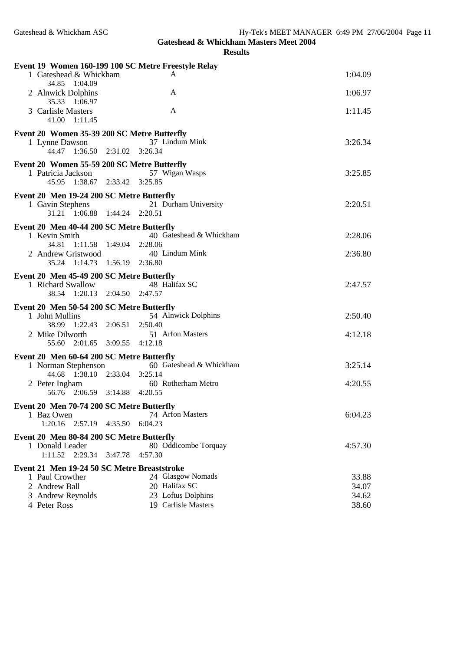|                                                              |         | Event 19 Women 160-199 100 SC Metre Freestyle Relay |                |
|--------------------------------------------------------------|---------|-----------------------------------------------------|----------------|
| 1 Gateshead & Whickham                                       |         | A                                                   | 1:04.09        |
| 34.85 1:04.09<br>2 Alnwick Dolphins<br>35.33 1:06.97         |         | A                                                   | 1:06.97        |
| 3 Carlisle Masters<br>41.00 1:11.45                          |         | A                                                   | 1:11.45        |
| Event 20 Women 35-39 200 SC Metre Butterfly                  |         |                                                     |                |
| 1 Lynne Dawson<br>44.47 1:36.50 2:31.02 3:26.34              |         | 37 Lindum Mink                                      | 3:26.34        |
| Event 20 Women 55-59 200 SC Metre Butterfly                  |         |                                                     |                |
| 1 Patricia Jackson<br>45.95 1:38.67 2:33.42 3:25.85          |         | 57 Wigan Wasps                                      | 3:25.85        |
| Event 20 Men 19-24 200 SC Metre Butterfly                    |         |                                                     |                |
| 1 Gavin Stephens<br>31.21 1:06.88 1:44.24 2:20.51            |         | 21 Durham University                                | 2:20.51        |
| Event 20 Men 40-44 200 SC Metre Butterfly                    |         |                                                     |                |
| 1 Kevin Smith<br>34.81 1:11.58 1:49.04 2:28.06               |         | 40 Gateshead & Whickham                             | 2:28.06        |
| 2 Andrew Gristwood                                           |         | 40 Lindum Mink                                      | 2:36.80        |
| 35.24 1:14.73 1:56.19 2:36.80                                |         |                                                     |                |
| Event 20 Men 45-49 200 SC Metre Butterfly                    |         |                                                     |                |
| 1 Richard Swallow                                            |         | 48 Halifax SC                                       | 2:47.57        |
| 38.54 1:20.13 2:04.50 2:47.57                                |         |                                                     |                |
| Event 20 Men 50-54 200 SC Metre Butterfly<br>1 John Mullins  |         | 54 Alnwick Dolphins                                 | 2:50.40        |
| 38.99 1:22.43 2:06.51 2:50.40                                |         |                                                     |                |
| 2 Mike Dilworth                                              |         | 51 Arfon Masters                                    | 4:12.18        |
| 55.60 2:01.65 3:09.55 4:12.18                                |         |                                                     |                |
| Event 20 Men 60-64 200 SC Metre Butterfly                    |         |                                                     |                |
| 1 Norman Stephenson<br>44.68 1:38.10 2:33.04 3:25.14         |         | 60 Gateshead & Whickham                             | 3:25.14        |
| 2 Peter Ingham                                               |         | 60 Rotherham Metro                                  | 4:20.55        |
| 56.76 2:06.59 3:14.88 4:20.55                                |         |                                                     |                |
| Event 20 Men 70-74 200 SC Metre Butterfly                    |         |                                                     |                |
| 1 Baz Owen<br>$1:20.16$ $2:57.19$                            | 4:35.50 | 74 Arfon Masters<br>6:04.23                         | 6:04.23        |
|                                                              |         |                                                     |                |
| Event 20 Men 80-84 200 SC Metre Butterfly<br>1 Donald Leader |         | 80 Oddicombe Torquay                                | 4:57.30        |
| $1:11.52$ $2:29.34$                                          | 3:47.78 | 4:57.30                                             |                |
| Event 21 Men 19-24 50 SC Metre Breaststroke                  |         |                                                     |                |
| 1 Paul Crowther                                              |         | 24 Glasgow Nomads                                   | 33.88          |
| 2 Andrew Ball                                                |         | 20 Halifax SC                                       | 34.07          |
| 3 Andrew Reynolds<br>4 Peter Ross                            |         | 23 Loftus Dolphins<br>19 Carlisle Masters           | 34.62<br>38.60 |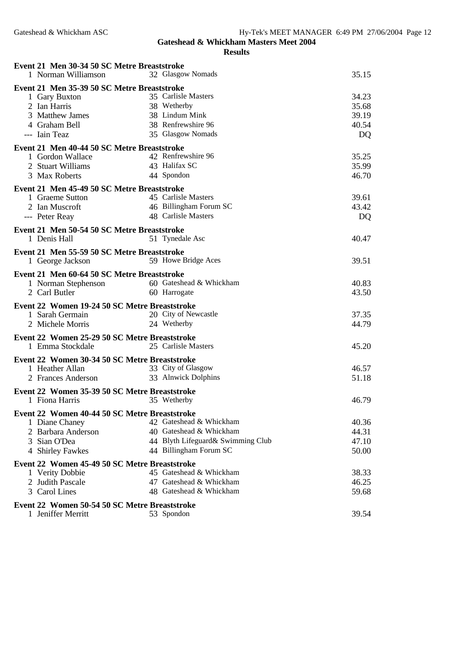| Event 21 Men 30-34 50 SC Metre Breaststroke                       |                                   |       |
|-------------------------------------------------------------------|-----------------------------------|-------|
| 1 Norman Williamson                                               | 32 Glasgow Nomads                 | 35.15 |
| Event 21 Men 35-39 50 SC Metre Breaststroke                       |                                   |       |
| 1 Gary Buxton                                                     | 35 Carlisle Masters               | 34.23 |
| 2 Ian Harris                                                      | 38 Wetherby                       | 35.68 |
| 3 Matthew James                                                   | 38 Lindum Mink                    | 39.19 |
| 4 Graham Bell                                                     | 38 Renfrewshire 96                | 40.54 |
| --- Iain Teaz                                                     | 35 Glasgow Nomads                 | DQ    |
| Event 21 Men 40-44 50 SC Metre Breaststroke                       |                                   |       |
| 1 Gordon Wallace                                                  | 42 Renfrewshire 96                | 35.25 |
| 2 Stuart Williams                                                 | 43 Halifax SC                     | 35.99 |
| 3 Max Roberts                                                     | 44 Spondon                        | 46.70 |
| Event 21 Men 45-49 50 SC Metre Breaststroke                       |                                   |       |
| 1 Graeme Sutton                                                   | 45 Carlisle Masters               | 39.61 |
| 2 Ian Muscroft                                                    | 46 Billingham Forum SC            | 43.42 |
| --- Peter Reay                                                    | 48 Carlisle Masters               | DQ    |
| Event 21 Men 50-54 50 SC Metre Breaststroke                       |                                   |       |
| 1 Denis Hall                                                      | 51 Tynedale Asc                   | 40.47 |
| Event 21 Men 55-59 50 SC Metre Breaststroke                       |                                   |       |
| 1 George Jackson                                                  | 59 Howe Bridge Aces               | 39.51 |
| Event 21 Men 60-64 50 SC Metre Breaststroke                       |                                   |       |
| 1 Norman Stephenson                                               | 60 Gateshead & Whickham           | 40.83 |
| 2 Carl Butler                                                     | 60 Harrogate                      | 43.50 |
| Event 22 Women 19-24 50 SC Metre Breaststroke                     |                                   |       |
| 1 Sarah Germain                                                   | 20 City of Newcastle              | 37.35 |
| 2 Michele Morris                                                  | 24 Wetherby                       | 44.79 |
|                                                                   |                                   |       |
| Event 22 Women 25-29 50 SC Metre Breaststroke<br>1 Emma Stockdale | 25 Carlisle Masters               | 45.20 |
|                                                                   |                                   |       |
| Event 22 Women 30-34 50 SC Metre Breaststroke                     |                                   |       |
| 1 Heather Allan                                                   | 33 City of Glasgow                | 46.57 |
| 2 Frances Anderson                                                | 33 Alnwick Dolphins               | 51.18 |
| Event 22 Women 35-39 50 SC Metre Breaststroke                     |                                   |       |
| 1 Fiona Harris                                                    | 35 Wetherby                       | 46.79 |
| Event 22 Women 40-44 50 SC Metre Breaststroke                     |                                   |       |
| 1 Diane Chaney                                                    | 42 Gateshead & Whickham           | 40.36 |
| 2 Barbara Anderson                                                | 40 Gateshead & Whickham           | 44.31 |
| 3 Sian O'Dea                                                      | 44 Blyth Lifeguard& Swimming Club | 47.10 |
| 4 Shirley Fawkes                                                  | 44 Billingham Forum SC            | 50.00 |
| Event 22 Women 45-49 50 SC Metre Breaststroke                     |                                   |       |
| 1 Verity Dobbie                                                   | 45 Gateshead & Whickham           | 38.33 |
| 2 Judith Pascale                                                  | 47 Gateshead & Whickham           | 46.25 |
| 3 Carol Lines                                                     | 48 Gateshead & Whickham           | 59.68 |
| Event 22 Women 50-54 50 SC Metre Breaststroke                     |                                   |       |
| 1 Jeniffer Merritt                                                | 53 Spondon                        | 39.54 |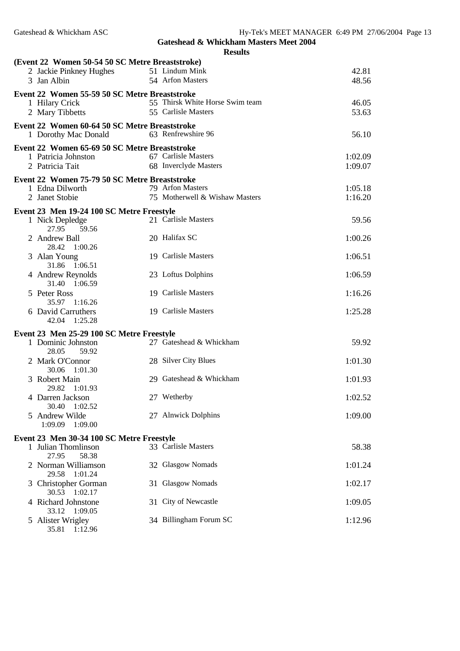|   | (Event 22 Women 50-54 50 SC Metre Breaststroke) |                                 |         |
|---|-------------------------------------------------|---------------------------------|---------|
|   | 2 Jackie Pinkney Hughes                         | 51 Lindum Mink                  | 42.81   |
|   | 3 Jan Albin                                     | 54 Arfon Masters                | 48.56   |
|   | Event 22 Women 55-59 50 SC Metre Breaststroke   |                                 |         |
|   | 1 Hilary Crick                                  | 55 Thirsk White Horse Swim team | 46.05   |
|   | 2 Mary Tibbetts                                 | 55 Carlisle Masters             | 53.63   |
|   | Event 22 Women 60-64 50 SC Metre Breaststroke   |                                 |         |
|   | 1 Dorothy Mac Donald                            | 63 Renfrewshire 96              | 56.10   |
|   | Event 22 Women 65-69 50 SC Metre Breaststroke   |                                 |         |
|   | 1 Patricia Johnston                             | 67 Carlisle Masters             | 1:02.09 |
|   | 2 Patricia Tait                                 | 68 Inverclyde Masters           | 1:09.07 |
|   | Event 22 Women 75-79 50 SC Metre Breaststroke   |                                 |         |
|   | 1 Edna Dilworth                                 | 79 Arfon Masters                | 1:05.18 |
|   | 2 Janet Stobie                                  | 75 Motherwell & Wishaw Masters  | 1:16.20 |
|   | Event 23 Men 19-24 100 SC Metre Freestyle       |                                 |         |
|   | 1 Nick Depledge                                 | 21 Carlisle Masters             | 59.56   |
|   | 27.95<br>59.56                                  |                                 |         |
|   | 2 Andrew Ball                                   | 20 Halifax SC                   | 1:00.26 |
|   | 28.42 1:00.26                                   |                                 |         |
|   | 3 Alan Young<br>31.86 1:06.51                   | 19 Carlisle Masters             | 1:06.51 |
|   | 4 Andrew Reynolds                               | 23 Loftus Dolphins              | 1:06.59 |
|   | 31.40 1:06.59                                   |                                 |         |
|   | 5 Peter Ross                                    | 19 Carlisle Masters             | 1:16.26 |
|   | 35.97 1:16.26                                   |                                 |         |
|   | 6 David Carruthers                              | 19 Carlisle Masters             | 1:25.28 |
|   | 42.04 1:25.28                                   |                                 |         |
|   | Event 23 Men 25-29 100 SC Metre Freestyle       |                                 |         |
|   | 1 Dominic Johnston                              | 27 Gateshead & Whickham         | 59.92   |
|   | 28.05<br>59.92                                  |                                 |         |
|   | 2 Mark O'Connor                                 | 28 Silver City Blues            | 1:01.30 |
|   | 30.06<br>1:01.30<br>3 Robert Main               | 29 Gateshead & Whickham         | 1:01.93 |
|   | 29.82<br>1:01.93                                |                                 |         |
|   | 4 Darren Jackson                                | 27 Wetherby                     | 1:02.52 |
|   | 30.40<br>1:02.52                                |                                 |         |
|   | 5 Andrew Wilde                                  | 27 Alnwick Dolphins             | 1:09.00 |
|   | 1:09.09<br>1:09.00                              |                                 |         |
|   | Event 23 Men 30-34 100 SC Metre Freestyle       |                                 |         |
|   | 1 Julian Thomlinson                             | 33 Carlisle Masters             | 58.38   |
|   | 27.95<br>58.38                                  |                                 |         |
|   | 2 Norman Williamson                             | 32 Glasgow Nomads               | 1:01.24 |
| 3 | 29.58<br>1:01.24<br><b>Christopher Gorman</b>   | 31 Glasgow Nomads               | 1:02.17 |
|   | 30.53 1:02.17                                   |                                 |         |
|   | 4 Richard Johnstone                             | 31 City of Newcastle            | 1:09.05 |
|   | 33.12<br>1:09.05                                |                                 |         |
|   | 5 Alister Wrigley<br>35.81 1:12.96              | 34 Billingham Forum SC          | 1:12.96 |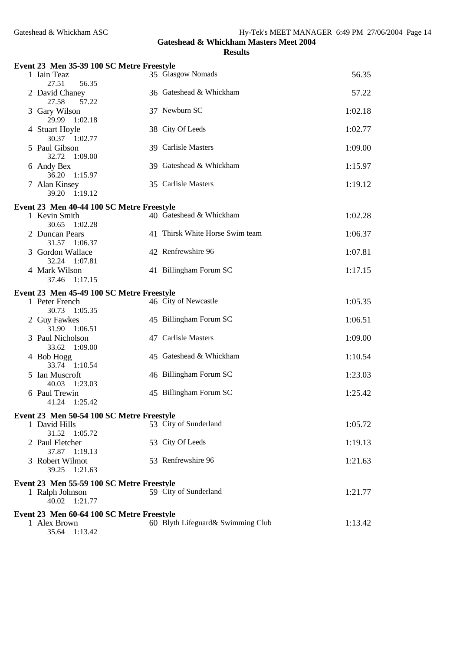| n<br>'SIII |
|------------|
|------------|

| Event 23 Men 35-39 100 SC Metre Freestyle                                     |                                   |         |
|-------------------------------------------------------------------------------|-----------------------------------|---------|
| 1 Iain Teaz<br>27.51<br>56.35                                                 | 35 Glasgow Nomads                 | 56.35   |
| 2 David Chaney<br>57.22<br>27.58                                              | 36 Gateshead & Whickham           | 57.22   |
| 3 Gary Wilson<br>29.99<br>1:02.18                                             | 37 Newburn SC                     | 1:02.18 |
| 4 Stuart Hoyle<br>30.37 1:02.77                                               | 38 City Of Leeds                  | 1:02.77 |
| 5 Paul Gibson<br>1:09.00<br>32.72                                             | 39 Carlisle Masters               | 1:09.00 |
| 6 Andy Bex<br>36.20 1:15.97                                                   | 39 Gateshead & Whickham           | 1:15.97 |
| 7 Alan Kinsey<br>1:19.12<br>39.20                                             | 35 Carlisle Masters               | 1:19.12 |
| Event 23 Men 40-44 100 SC Metre Freestyle                                     |                                   |         |
| 1 Kevin Smith<br>30.65<br>1:02.28                                             | 40 Gateshead & Whickham           | 1:02.28 |
| 2 Duncan Pears<br>31.57 1:06.37                                               | 41 Thirsk White Horse Swim team   | 1:06.37 |
| 3 Gordon Wallace<br>32.24 1:07.81                                             | 42 Renfrewshire 96                | 1:07.81 |
| 4 Mark Wilson<br>37.46 1:17.15                                                | 41 Billingham Forum SC            | 1:17.15 |
|                                                                               |                                   |         |
| Event 23 Men 45-49 100 SC Metre Freestyle                                     |                                   |         |
| 1 Peter French<br>30.73 1:05.35                                               | 46 City of Newcastle              | 1:05.35 |
| 2 Guy Fawkes<br>31.90 1:06.51                                                 | 45 Billingham Forum SC            | 1:06.51 |
| 3 Paul Nicholson<br>33.62 1:09.00                                             | 47 Carlisle Masters               | 1:09.00 |
| 4 Bob Hogg<br>33.74 1:10.54                                                   | 45 Gateshead & Whickham           | 1:10.54 |
| 5 Ian Muscroft<br>40.03<br>1:23.03                                            | 46 Billingham Forum SC            | 1:23.03 |
| 6 Paul Trewin<br>41.24<br>1:25.42                                             | 45 Billingham Forum SC            | 1:25.42 |
| Event 23 Men 50-54 100 SC Metre Freestyle                                     |                                   |         |
| 1 David Hills<br>31.52<br>1:05.72                                             | 53 City of Sunderland             | 1:05.72 |
| 2 Paul Fletcher<br>37.87 1:19.13                                              | 53 City Of Leeds                  | 1:19.13 |
| 3 Robert Wilmot<br>39.25<br>1:21.63                                           | 53 Renfrewshire 96                | 1:21.63 |
| Event 23 Men 55-59 100 SC Metre Freestyle                                     |                                   |         |
| 1 Ralph Johnson<br>40.02<br>1:21.77                                           | 59 City of Sunderland             | 1:21.77 |
|                                                                               |                                   |         |
| Event 23 Men 60-64 100 SC Metre Freestyle<br>1 Alex Brown<br>35.64<br>1:13.42 | 60 Blyth Lifeguard& Swimming Club | 1:13.42 |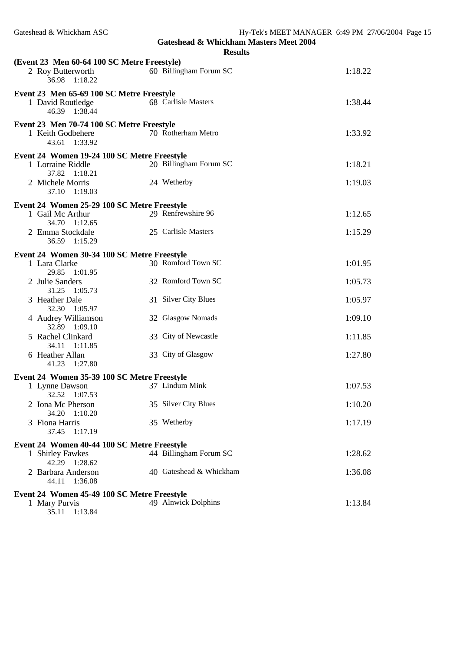|                                                                                    | <b>Results</b>          |         |
|------------------------------------------------------------------------------------|-------------------------|---------|
| (Event 23 Men 60-64 100 SC Metre Freestyle)<br>2 Roy Butterworth<br>36.98 1:18.22  | 60 Billingham Forum SC  | 1:18.22 |
| Event 23 Men 65-69 100 SC Metre Freestyle<br>1 David Routledge<br>46.39<br>1:38.44 | 68 Carlisle Masters     | 1:38.44 |
| Event 23 Men 70-74 100 SC Metre Freestyle<br>1 Keith Godbehere<br>43.61 1:33.92    | 70 Rotherham Metro      | 1:33.92 |
| Event 24 Women 19-24 100 SC Metre Freestyle                                        |                         |         |
| 1 Lorraine Riddle<br>37.82 1:18.21                                                 | 20 Billingham Forum SC  | 1:18.21 |
| 2 Michele Morris<br>37.10 1:19.03                                                  | 24 Wetherby             | 1:19.03 |
| Event 24 Women 25-29 100 SC Metre Freestyle                                        |                         |         |
| 1 Gail Mc Arthur<br>34.70 1:12.65                                                  | 29 Renfrewshire 96      | 1:12.65 |
| 2 Emma Stockdale<br>36.59<br>1:15.29                                               | 25 Carlisle Masters     | 1:15.29 |
| Event 24 Women 30-34 100 SC Metre Freestyle                                        |                         |         |
| 1 Lara Clarke<br>29.85 1:01.95                                                     | 30 Romford Town SC      | 1:01.95 |
| 2 Julie Sanders<br>31.25 1:05.73                                                   | 32 Romford Town SC      | 1:05.73 |
| 3 Heather Dale<br>32.30 1:05.97                                                    | 31 Silver City Blues    | 1:05.97 |
| 4 Audrey Williamson<br>32.89 1:09.10                                               | 32 Glasgow Nomads       | 1:09.10 |
| 5 Rachel Clinkard<br>34.11 1:11.85                                                 | 33 City of Newcastle    | 1:11.85 |
| 6 Heather Allan<br>41.23 1:27.80                                                   | 33 City of Glasgow      | 1:27.80 |
| Event 24 Women 35-39 100 SC Metre Freestyle                                        |                         |         |
| 1 Lynne Dawson<br>32.52 1:07.53                                                    | 37 Lindum Mink          | 1:07.53 |
| 2 Iona Mc Pherson<br>34.20<br>1:10.20                                              | 35 Silver City Blues    | 1:10.20 |
| 3 Fiona Harris<br>37.45<br>1:17.19                                                 | 35 Wetherby             | 1:17.19 |
| Event 24 Women 40-44 100 SC Metre Freestyle                                        |                         |         |
| 1 Shirley Fawkes<br>42.29 1:28.62                                                  | 44 Billingham Forum SC  | 1:28.62 |
| 2 Barbara Anderson<br>1:36.08<br>44.11                                             | 40 Gateshead & Whickham | 1:36.08 |
| Event 24 Women 45-49 100 SC Metre Freestyle                                        |                         |         |
| 1 Mary Purvis<br>35.11 1:13.84                                                     | 49 Alnwick Dolphins     | 1:13.84 |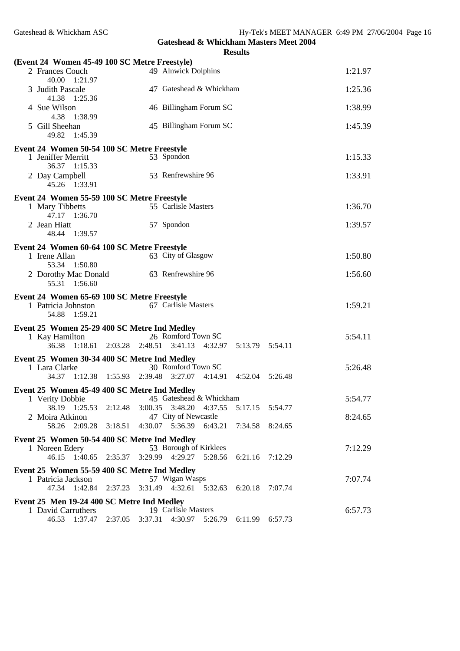| (Event 24 Women 45-49 100 SC Metre Freestyle)                                          |         |         |                                                                         |                 |         |         |
|----------------------------------------------------------------------------------------|---------|---------|-------------------------------------------------------------------------|-----------------|---------|---------|
| 2 Frances Couch<br>40.00 1:21.97                                                       |         |         | 49 Alnwick Dolphins                                                     |                 |         | 1:21.97 |
| 3 Judith Pascale<br>41.38 1:25.36                                                      |         |         | 47 Gateshead & Whickham                                                 |                 |         | 1:25.36 |
| 4 Sue Wilson<br>4.38 1:38.99                                                           |         |         | 46 Billingham Forum SC                                                  |                 |         | 1:38.99 |
| 5 Gill Sheehan<br>49.82 1:45.39                                                        |         |         | 45 Billingham Forum SC                                                  |                 |         | 1:45.39 |
| Event 24 Women 50-54 100 SC Metre Freestyle                                            |         |         |                                                                         |                 |         |         |
| 1 Jeniffer Merritt<br>36.37 1:15.33                                                    |         |         | 53 Spondon                                                              |                 |         | 1:15.33 |
| 2 Day Campbell<br>45.26 1:33.91                                                        |         |         | 53 Renfrewshire 96                                                      |                 |         | 1:33.91 |
| Event 24 Women 55-59 100 SC Metre Freestyle                                            |         |         |                                                                         |                 |         |         |
| 1 Mary Tibbetts<br>47.17 1:36.70                                                       |         |         | 55 Carlisle Masters                                                     |                 |         | 1:36.70 |
| 2 Jean Hiatt<br>48.44 1:39.57                                                          |         |         | 57 Spondon                                                              |                 |         | 1:39.57 |
|                                                                                        |         |         |                                                                         |                 |         |         |
| Event 24 Women 60-64 100 SC Metre Freestyle<br>1 Irene Allan<br>53.34 1:50.80          |         |         | 63 City of Glasgow                                                      |                 |         | 1:50.80 |
| 2 Dorothy Mac Donald<br>55.31 1:56.60                                                  |         |         | 63 Renfrewshire 96                                                      |                 |         | 1:56.60 |
|                                                                                        |         |         |                                                                         |                 |         |         |
|                                                                                        |         |         |                                                                         |                 |         |         |
| Event 24 Women 65-69 100 SC Metre Freestyle<br>1 Patricia Johnston<br>54.88<br>1:59.21 |         |         | 67 Carlisle Masters                                                     |                 |         | 1:59.21 |
|                                                                                        |         |         |                                                                         |                 |         |         |
| Event 25 Women 25-29 400 SC Metre Ind Medley                                           |         |         |                                                                         |                 |         |         |
| 1 Kay Hamilton<br>36.38                                                                |         |         | 26 Romford Town SC<br>$1:18.61$ $2:03.28$ $2:48.51$ $3:41.13$ $4:32.97$ | 5:13.79 5:54.11 |         | 5:54.11 |
| Event 25 Women 30-34 400 SC Metre Ind Medley                                           |         |         |                                                                         |                 |         |         |
| 1 Lara Clarke                                                                          |         |         | 30 Romford Town SC                                                      |                 |         | 5:26.48 |
| 34.37 1:12.38 1:55.93 2:39.48 3:27.07                                                  |         |         | 4:14.91                                                                 | 4:52.04 5:26.48 |         |         |
| Event 25 Women 45-49 400 SC Metre Ind Medley                                           |         |         |                                                                         |                 |         |         |
| 1 Verity Dobbie                                                                        |         |         | 45 Gateshead & Whickham                                                 |                 |         | 5:54.77 |
| 38.19 1:25.53 2:12.48                                                                  |         |         | 3:00.35 3:48.20 4:37.55                                                 | 5:17.15         | 5:54.77 |         |
| 2 Moira Atkinon<br>58.26<br>2:09.28                                                    | 3:18.51 | 4:30.07 | 47 City of Newcastle<br>5:36.39<br>6:43.21                              | 7:34.58         | 8:24.65 | 8:24.65 |
|                                                                                        |         |         |                                                                         |                 |         |         |
| Event 25 Women 50-54 400 SC Metre Ind Medley<br>1 Noreen Edery                         |         |         | 53 Borough of Kirklees                                                  |                 |         | 7:12.29 |
| 46.15 1:40.65 2:35.37                                                                  |         |         | 3:29.99 4:29.27 5:28.56                                                 | 6:21.16         | 7:12.29 |         |
|                                                                                        |         |         |                                                                         |                 |         |         |
| Event 25 Women 55-59 400 SC Metre Ind Medley<br>1 Patricia Jackson                     |         |         | 57 Wigan Wasps                                                          |                 |         | 7:07.74 |
| 47.34 1:42.84                                                                          | 2:37.23 |         | 3:31.49 4:32.61 5:32.63                                                 | 6:20.18 7:07.74 |         |         |
|                                                                                        |         |         |                                                                         |                 |         |         |
| Event 25 Men 19-24 400 SC Metre Ind Medley<br>1 David Carruthers                       |         |         | 19 Carlisle Masters                                                     |                 |         | 6:57.73 |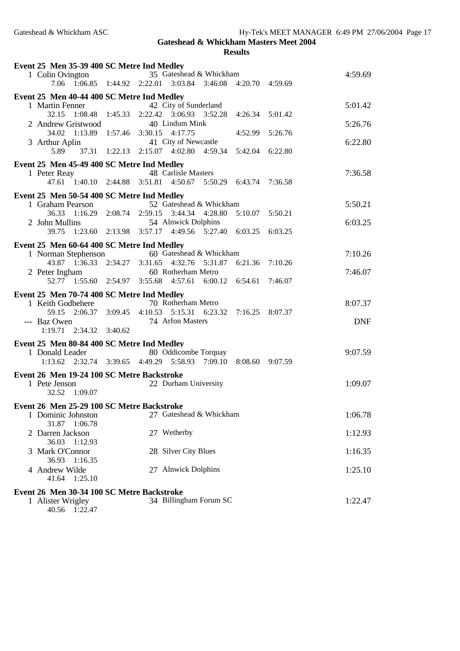40.56 1:22.47

| Event 25 Men 35-39 400 SC Metre Ind Medley<br>1 Colin Ovington<br>7.06 1:06.85 1:44.92 2:22.01 |         | 35 Gateshead & Whickham<br>3:03.84 3:46.08                    |         | 4:20.70 4:59.69 |         | 4:59.69    |
|------------------------------------------------------------------------------------------------|---------|---------------------------------------------------------------|---------|-----------------|---------|------------|
| Event 25 Men 40-44 400 SC Metre Ind Medley<br>1 Martin Fenner                                  |         | 42 City of Sunderland                                         |         |                 |         | 5:01.42    |
| $1:08.48$ $1:45.33$<br>32.15<br>2 Andrew Gristwood                                             |         | 2:22.42 3:06.93 3:52.28<br>40 Lindum Mink                     |         | 4:26.34         | 5:01.42 | 5:26.76    |
| 34.02<br>1:13.89 1:57.46<br>3 Arthur Aplin                                                     |         | 3:30.15<br>4:17.75<br>41 City of Newcastle                    |         | 4:52.99         | 5:26.76 | 6:22.80    |
| 5.89                                                                                           |         | 37.31 1:22.13 2:15.07 4:02.80 4:59.34                         |         | 5:42.04         | 6:22.80 |            |
| Event 25 Men 45-49 400 SC Metre Ind Medley                                                     |         | 48 Carlisle Masters                                           |         |                 |         |            |
| 1 Peter Reay                                                                                   |         | 47.61 1:40.10 2:44.88 3:51.81 4:50.67 5:50.29 6:43.74 7:36.58 |         |                 |         | 7:36.58    |
|                                                                                                |         |                                                               |         |                 |         |            |
| Event 25 Men 50-54 400 SC Metre Ind Medley<br>1 Graham Pearson                                 |         | 52 Gateshead & Whickham                                       |         |                 |         | 5:50.21    |
| 36.33 1:16.29 2:08.74                                                                          |         | 2:59.15 3:44.34 4:28.80                                       |         | 5:10.07 5:50.21 |         |            |
| 2 John Mullins                                                                                 |         | 54 Alnwick Dolphins                                           |         |                 |         | 6:03.25    |
| 1:23.60 2:13.98<br>39.75                                                                       |         | 3:57.17 4:49.56 5:27.40 6:03.25                               |         |                 | 6:03.25 |            |
| Event 25 Men 60-64 400 SC Metre Ind Medley                                                     |         |                                                               |         |                 |         |            |
| 1 Norman Stephenson                                                                            |         | 60 Gateshead & Whickham                                       |         |                 |         | 7:10.26    |
| 43.87                                                                                          |         | 1:36.33 2:34.27 3:31.65 4:32.76 5:31.87                       |         | 6:21.36         | 7:10.26 |            |
| 2 Peter Ingham                                                                                 |         | 60 Rotherham Metro                                            |         |                 |         | 7:46.07    |
| 52.77 1:55.60 2:54.97                                                                          |         | 3:55.68 4:57.61 6:00.12                                       |         | 6:54.61         | 7:46.07 |            |
| Event 25 Men 70-74 400 SC Metre Ind Medley                                                     |         |                                                               |         |                 |         |            |
| 1 Keith Godbehere                                                                              |         | 70 Rotherham Metro                                            |         |                 |         | 8:07.37    |
| 59.15 2:06.37                                                                                  | 3:09.45 | 4:10.53   5:15.31   6:23.32                                   |         | 7:16.25         | 8:07.37 |            |
| --- Baz Owen                                                                                   |         | 74 Arfon Masters                                              |         |                 |         | <b>DNF</b> |
| $1:19.71$ $2:34.32$ $3:40.62$                                                                  |         |                                                               |         |                 |         |            |
| Event 25 Men 80-84 400 SC Metre Ind Medley                                                     |         |                                                               |         |                 |         |            |
| 1 Donald Leader                                                                                |         | 80 Oddicombe Torquay                                          |         |                 |         | 9:07.59    |
| $1:13.62$ $2:32.74$ $3:39.65$                                                                  |         | 4:49.29 5:58.93                                               | 7:09.10 | 8:08.60 9:07.59 |         |            |
| Event 26 Men 19-24 100 SC Metre Backstroke                                                     |         |                                                               |         |                 |         |            |
| 1 Pete Jenson                                                                                  |         | 22 Durham University                                          |         |                 |         | 1:09.07    |
| 1:09.07<br>32.52                                                                               |         |                                                               |         |                 |         |            |
| Event 26 Men 25-29 100 SC Metre Backstroke                                                     |         |                                                               |         |                 |         |            |
| 1 Dominic Johnston<br>31.87 1:06.78                                                            |         | 27 Gateshead & Whickham                                       |         |                 |         | 1:06.78    |
| 2 Darren Jackson<br>36.03 1:12.93                                                              |         | 27 Wetherby                                                   |         |                 |         | 1:12.93    |
| 3 Mark O'Connor<br>36.93 1:16.35                                                               |         | 28 Silver City Blues                                          |         |                 |         | 1:16.35    |
| 4 Andrew Wilde                                                                                 |         | 27 Alnwick Dolphins                                           |         |                 |         | 1:25.10    |
| 41.64<br>1:25.10                                                                               |         |                                                               |         |                 |         |            |
| Event 26 Men 30-34 100 SC Metre Backstroke                                                     |         |                                                               |         |                 |         |            |
| 1 Alister Wrigley                                                                              |         | 34 Billingham Forum SC                                        |         |                 |         | 1:22.47    |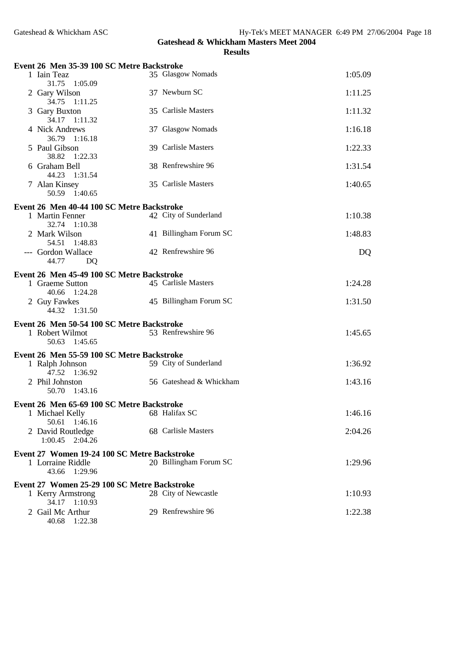40.68 1:22.38

**Gateshead & Whickham Masters Meet 2004**

| Event 26 Men 35-39 100 SC Metre Backstroke                                     |                         |         |
|--------------------------------------------------------------------------------|-------------------------|---------|
| 1 Iain Teaz<br>31.75<br>1:05.09                                                | 35 Glasgow Nomads       | 1:05.09 |
| 2 Gary Wilson<br>34.75<br>1:11.25                                              | 37 Newburn SC           | 1:11.25 |
| 3 Gary Buxton<br>34.17 1:11.32                                                 | 35 Carlisle Masters     | 1:11.32 |
| 4 Nick Andrews<br>36.79 1:16.18                                                | 37 Glasgow Nomads       | 1:16.18 |
| 5 Paul Gibson<br>38.82 1:22.33                                                 | 39 Carlisle Masters     | 1:22.33 |
| 6 Graham Bell<br>44.23 1:31.54                                                 | 38 Renfrewshire 96      | 1:31.54 |
| 7 Alan Kinsey<br>50.59 1:40.65                                                 | 35 Carlisle Masters     | 1:40.65 |
|                                                                                |                         |         |
| Event 26 Men 40-44 100 SC Metre Backstroke<br>1 Martin Fenner<br>32.74 1:10.38 | 42 City of Sunderland   | 1:10.38 |
| 2 Mark Wilson<br>54.51<br>1:48.83                                              | 41 Billingham Forum SC  | 1:48.83 |
| --- Gordon Wallace<br>44.77<br>DQ                                              | 42 Renfrewshire 96      | DQ      |
| Event 26 Men 45-49 100 SC Metre Backstroke                                     |                         |         |
| 1 Graeme Sutton<br>40.66<br>1:24.28                                            | 45 Carlisle Masters     | 1:24.28 |
| 2 Guy Fawkes<br>44.32<br>1:31.50                                               | 45 Billingham Forum SC  | 1:31.50 |
| Event 26 Men 50-54 100 SC Metre Backstroke                                     |                         |         |
| 1 Robert Wilmot<br>50.63<br>1:45.65                                            | 53 Renfrewshire 96      | 1:45.65 |
| Event 26 Men 55-59 100 SC Metre Backstroke                                     |                         |         |
| 1 Ralph Johnson<br>47.52<br>1:36.92                                            | 59 City of Sunderland   | 1:36.92 |
| 2 Phil Johnston<br>50.70<br>1:43.16                                            | 56 Gateshead & Whickham | 1:43.16 |
| Event 26 Men 65-69 100 SC Metre Backstroke                                     |                         |         |
| 1 Michael Kelly                                                                | 68 Halifax SC           | 1:46.16 |
| 50.61<br>1:46.16                                                               |                         |         |
| 2 David Routledge<br>2:04.26<br>1:00.45                                        | 68 Carlisle Masters     | 2:04.26 |
| Event 27 Women 19-24 100 SC Metre Backstroke                                   |                         |         |
| 1 Lorraine Riddle<br>1:29.96<br>43.66                                          | 20 Billingham Forum SC  | 1:29.96 |
| Event 27 Women 25-29 100 SC Metre Backstroke                                   |                         |         |
| 1 Kerry Armstrong<br>34.17 1:10.93                                             | 28 City of Newcastle    | 1:10.93 |
| 2 Gail Mc Arthur                                                               | 29 Renfrewshire 96      | 1:22.38 |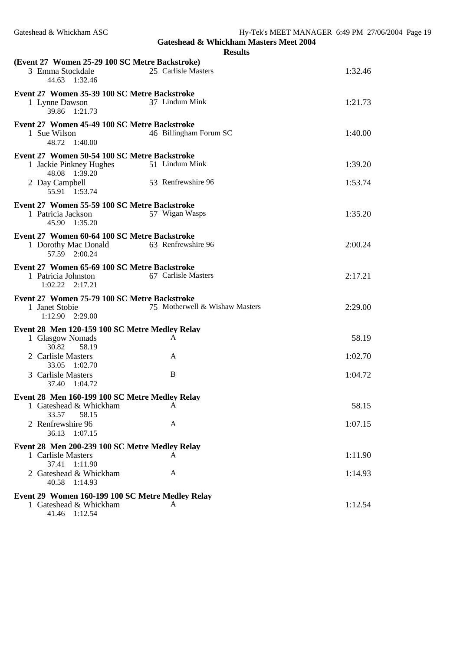|                                                  | <b>Results</b>                 |         |
|--------------------------------------------------|--------------------------------|---------|
| (Event 27 Women 25-29 100 SC Metre Backstroke)   |                                |         |
| 3 Emma Stockdale<br>44.63<br>1:32.46             | 25 Carlisle Masters            | 1:32.46 |
| Event 27 Women 35-39 100 SC Metre Backstroke     |                                |         |
| 1 Lynne Dawson<br>39.86<br>1:21.73               | 37 Lindum Mink                 | 1:21.73 |
| Event 27 Women 45-49 100 SC Metre Backstroke     |                                |         |
| 1 Sue Wilson<br>48.72<br>1:40.00                 | 46 Billingham Forum SC         | 1:40.00 |
| Event 27 Women 50-54 100 SC Metre Backstroke     |                                |         |
| 1 Jackie Pinkney Hughes<br>48.08 1:39.20         | 51 Lindum Mink                 | 1:39.20 |
| 2 Day Campbell<br>55.91 1:53.74                  | 53 Renfrewshire 96             | 1:53.74 |
| Event 27 Women 55-59 100 SC Metre Backstroke     |                                |         |
| 1 Patricia Jackson<br>1:35.20<br>45.90           | 57 Wigan Wasps                 | 1:35.20 |
| Event 27 Women 60-64 100 SC Metre Backstroke     |                                |         |
| 1 Dorothy Mac Donald<br>57.59 2:00.24            | 63 Renfrewshire 96             | 2:00.24 |
| Event 27 Women 65-69 100 SC Metre Backstroke     |                                |         |
| 1 Patricia Johnston<br>$1:02.22$ $2:17.21$       | 67 Carlisle Masters            | 2:17.21 |
| Event 27 Women 75-79 100 SC Metre Backstroke     |                                |         |
| 1 Janet Stobie<br>1:12.90 2:29.00                | 75 Motherwell & Wishaw Masters | 2:29.00 |
| Event 28 Men 120-159 100 SC Metre Medley Relay   |                                |         |
| 1 Glasgow Nomads<br>30.82<br>58.19               | A                              | 58.19   |
| 2 Carlisle Masters                               | A                              | 1:02.70 |
| 33.05 1:02.70<br>3 Carlisle Masters              | B                              | 1:04.72 |
| 37.40 1:04.72                                    |                                |         |
| Event 28 Men 160-199 100 SC Metre Medley Relay   |                                |         |
| 1 Gateshead & Whickham<br>33.57<br>58.15         | A                              | 58.15   |
| 2 Renfrewshire 96<br>36.13<br>1:07.15            | A                              | 1:07.15 |
| Event 28 Men 200-239 100 SC Metre Medley Relay   |                                |         |
| 1 Carlisle Masters<br>37.41<br>1:11.90           | A                              | 1:11.90 |
| 2 Gateshead & Whickham<br>40.58<br>1:14.93       | A                              | 1:14.93 |
| Event 29 Women 160-199 100 SC Metre Medley Relay |                                |         |
| 1 Gateshead & Whickham<br>41.46 1:12.54          | A                              | 1:12.54 |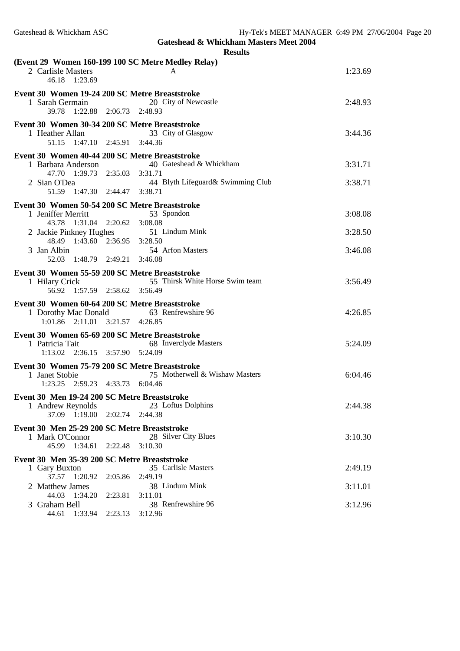|                                                                                                    |                         | (Event 29 Women 160-199 100 SC Metre Medley Relay) |         |
|----------------------------------------------------------------------------------------------------|-------------------------|----------------------------------------------------|---------|
| 2 Carlisle Masters<br>46.18<br>1:23.69                                                             |                         | A                                                  | 1:23.69 |
| Event 30 Women 19-24 200 SC Metre Breaststroke<br>1 Sarah Germain<br>39.78 1:22.88 2:06.73 2:48.93 |                         | 20 City of Newcastle                               | 2:48.93 |
| Event 30 Women 30-34 200 SC Metre Breaststroke<br>1 Heather Allan<br>51.15 1:47.10 2:45.91 3:44.36 |                         | 33 City of Glasgow                                 | 3:44.36 |
| Event 30 Women 40-44 200 SC Metre Breaststroke                                                     |                         |                                                    |         |
| 1 Barbara Anderson                                                                                 |                         | 40 Gateshead & Whickham                            | 3:31.71 |
| 47.70 1:39.73 2:35.03 3:31.71                                                                      |                         |                                                    |         |
| 2 Sian O'Dea<br>51.59 1:47.30 2:44.47 3:38.71                                                      |                         | 44 Blyth Lifeguard& Swimming Club                  | 3:38.71 |
|                                                                                                    |                         |                                                    |         |
| Event 30 Women 50-54 200 SC Metre Breaststroke<br>1 Jeniffer Merritt                               |                         | 53 Spondon                                         | 3:08.08 |
| 43.78  1:31.04  2:20.62  3:08.08                                                                   |                         |                                                    |         |
|                                                                                                    |                         | 2 Jackie Pinkney Hughes 51 Lindum Mink             | 3:28.50 |
| 48.49 1:43.60 2:36.95 3:28.50                                                                      |                         |                                                    |         |
| 3 Jan Albin                                                                                        |                         | 54 Arfon Masters                                   | 3:46.08 |
| 52.03 1:48.79 2:49.21 3:46.08                                                                      |                         |                                                    |         |
| Event 30 Women 55-59 200 SC Metre Breaststroke                                                     |                         |                                                    |         |
| 1 Hilary Crick<br>56.92                                                                            | 1:57.59 2:58.62 3:56.49 | 55 Thirsk White Horse Swim team                    | 3:56.49 |
|                                                                                                    |                         |                                                    |         |
| Event 30 Women 60-64 200 SC Metre Breaststroke<br>1 Dorothy Mac Donald                             |                         | 63 Renfrewshire 96                                 | 4:26.85 |
| $1:01.86$ $2:11.01$ $3:21.57$ $4:26.85$                                                            |                         |                                                    |         |
| Event 30 Women 65-69 200 SC Metre Breaststroke                                                     |                         |                                                    |         |
| 1 Patricia Tait                                                                                    |                         | 68 Inverclyde Masters                              | 5:24.09 |
| 1:13.02 2:36.15 3:57.90 5:24.09                                                                    |                         |                                                    |         |
| Event 30 Women 75-79 200 SC Metre Breaststroke                                                     |                         |                                                    |         |
| 1 Janet Stobie                                                                                     |                         | 75 Motherwell & Wishaw Masters                     | 6:04.46 |
| 1:23.25 2:59.23 4:33.73 6:04.46                                                                    |                         |                                                    |         |
| Event 30 Men 19-24 200 SC Metre Breaststroke                                                       |                         |                                                    |         |
| 1 Andrew Reynolds                                                                                  |                         | 23 Loftus Dolphins                                 | 2:44.38 |
| 37.09<br>1:19.00                                                                                   | 2:02.74                 | 2:44.38                                            |         |
| Event 30 Men 25-29 200 SC Metre Breaststroke                                                       |                         |                                                    |         |
| 1 Mark O'Connor<br>45.99<br>1:34.61                                                                | 2:22.48                 | 28 Silver City Blues<br>3:10.30                    | 3:10.30 |
|                                                                                                    |                         |                                                    |         |
| Event 30 Men 35-39 200 SC Metre Breaststroke<br>1 Gary Buxton                                      |                         | 35 Carlisle Masters                                | 2:49.19 |
| 37.57 1:20.92                                                                                      | 2:05.86                 | 2:49.19                                            |         |
| 2 Matthew James                                                                                    |                         | 38 Lindum Mink                                     | 3:11.01 |
| 44.03 1:34.20                                                                                      | 2:23.81                 | 3:11.01                                            |         |
| 3 Graham Bell                                                                                      |                         | 38 Renfrewshire 96                                 | 3:12.96 |
| 44.61 1:33.94                                                                                      | 2:23.13                 | 3:12.96                                            |         |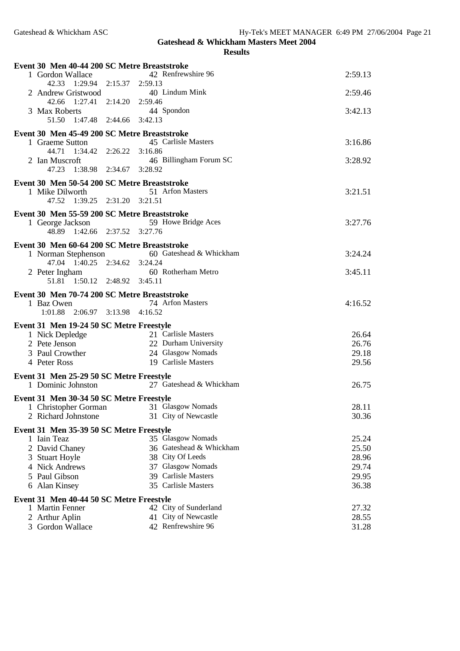## **Gateshead & Whickham Masters Meet 2004 Results**

| Event 30 Men 40-44 200 SC Metre Breaststroke                |                         |         |
|-------------------------------------------------------------|-------------------------|---------|
| 1 Gordon Wallace                                            | 42 Renfrewshire 96      | 2:59.13 |
| 42.33 1:29.94 2:15.37 2:59.13                               |                         |         |
| 2 Andrew Gristwood                                          | 40 Lindum Mink          | 2:59.46 |
| 42.66 1:27.41 2:14.20 2:59.46                               |                         |         |
| 3 Max Roberts                                               | 44 Spondon              | 3:42.13 |
| 51.50 1:47.48 2:44.66 3:42.13                               |                         |         |
| Event 30 Men 45-49 200 SC Metre Breaststroke                |                         |         |
| 1 Graeme Sutton                                             | 45 Carlisle Masters     | 3:16.86 |
| 44.71  1:34.42                                              | 2:26.22 3:16.86         |         |
| 2 Ian Muscroft                                              | 46 Billingham Forum SC  | 3:28.92 |
| 47.23 1:38.98 2:34.67 3:28.92                               |                         |         |
| Event 30 Men 50-54 200 SC Metre Breaststroke                |                         |         |
| 1 Mike Dilworth                                             | 51 Arfon Masters        | 3:21.51 |
| 47.52 1:39.25 2:31.20 3:21.51                               |                         |         |
| Event 30 Men 55-59 200 SC Metre Breaststroke                |                         |         |
| 1 George Jackson                                            | 59 Howe Bridge Aces     | 3:27.76 |
| 48.89 1:42.66 2:37.52 3:27.76                               |                         |         |
|                                                             |                         |         |
| Event 30 Men 60-64 200 SC Metre Breaststroke                | 60 Gateshead & Whickham | 3:24.24 |
| 1 Norman Stephenson<br>47.04 1:40.25 2:34.62 3:24.24        |                         |         |
| 2 Peter Ingham                                              | 60 Rotherham Metro      | 3:45.11 |
| 1:50.12 2:48.92 3:45.11<br>51.81                            |                         |         |
|                                                             |                         |         |
| Event 30 Men 70-74 200 SC Metre Breaststroke                |                         |         |
| 1 Baz Owen                                                  | 74 Arfon Masters        | 4:16.52 |
|                                                             |                         |         |
| 1:01.88 2:06.97 3:13.98 4:16.52                             |                         |         |
| Event 31 Men 19-24 50 SC Metre Freestyle                    |                         |         |
| 1 Nick Depledge                                             | 21 Carlisle Masters     | 26.64   |
| 2 Pete Jenson                                               | 22 Durham University    | 26.76   |
| 3 Paul Crowther                                             | 24 Glasgow Nomads       | 29.18   |
| 4 Peter Ross                                                | 19 Carlisle Masters     | 29.56   |
|                                                             |                         |         |
| Event 31 Men 25-29 50 SC Metre Freestyle                    | 27 Gateshead & Whickham |         |
| 1 Dominic Johnston                                          |                         | 26.75   |
| Event 31 Men 30-34 50 SC Metre Freestyle                    |                         |         |
| 1 Christopher Gorman                                        | 31 Glasgow Nomads       | 28.11   |
| 2 Richard Johnstone                                         | 31 City of Newcastle    | 30.36   |
| Event 31 Men 35-39 50 SC Metre Freestyle                    |                         |         |
| 1 Iain Teaz                                                 | 35 Glasgow Nomads       | 25.24   |
| 2 David Chaney                                              | 36 Gateshead & Whickham | 25.50   |
| 3 Stuart Hoyle                                              | 38 City Of Leeds        | 28.96   |
| 4 Nick Andrews                                              | 37 Glasgow Nomads       | 29.74   |
| 5 Paul Gibson                                               | 39 Carlisle Masters     | 29.95   |
| 6 Alan Kinsey                                               | 35 Carlisle Masters     | 36.38   |
|                                                             |                         |         |
| Event 31 Men 40-44 50 SC Metre Freestyle<br>1 Martin Fenner | 42 City of Sunderland   | 27.32   |
| 2 Arthur Aplin                                              | 41 City of Newcastle    | 28.55   |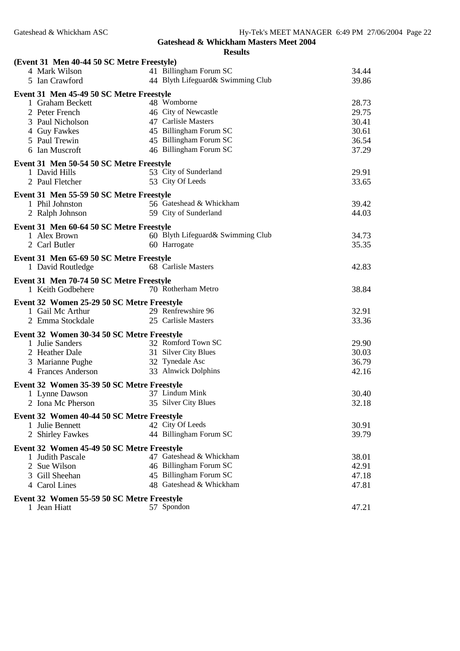| (Event 31 Men 40-44 50 SC Metre Freestyle)                     |                                   |       |
|----------------------------------------------------------------|-----------------------------------|-------|
| 4 Mark Wilson                                                  | 41 Billingham Forum SC            | 34.44 |
| 5 Ian Crawford                                                 | 44 Blyth Lifeguard& Swimming Club | 39.86 |
| Event 31 Men 45-49 50 SC Metre Freestyle                       |                                   |       |
| 1 Graham Beckett                                               | 48 Womborne                       | 28.73 |
| 2 Peter French                                                 | 46 City of Newcastle              | 29.75 |
| 3 Paul Nicholson                                               | 47 Carlisle Masters               | 30.41 |
| 4 Guy Fawkes                                                   | 45 Billingham Forum SC            | 30.61 |
| 5 Paul Trewin                                                  | 45 Billingham Forum SC            | 36.54 |
| 6 Ian Muscroft                                                 | 46 Billingham Forum SC            | 37.29 |
| Event 31 Men 50-54 50 SC Metre Freestyle                       |                                   |       |
| 1 David Hills                                                  | 53 City of Sunderland             | 29.91 |
| 2 Paul Fletcher                                                | 53 City Of Leeds                  | 33.65 |
| Event 31 Men 55-59 50 SC Metre Freestyle                       |                                   |       |
| 1 Phil Johnston                                                | 56 Gateshead & Whickham           | 39.42 |
| 2 Ralph Johnson                                                | 59 City of Sunderland             | 44.03 |
|                                                                |                                   |       |
| Event 31 Men 60-64 50 SC Metre Freestyle<br>1 Alex Brown       | 60 Blyth Lifeguard& Swimming Club | 34.73 |
| 2 Carl Butler                                                  | 60 Harrogate                      | 35.35 |
|                                                                |                                   |       |
| Event 31 Men 65-69 50 SC Metre Freestyle                       |                                   |       |
| 1 David Routledge                                              | 68 Carlisle Masters               | 42.83 |
| Event 31 Men 70-74 50 SC Metre Freestyle                       |                                   |       |
| 1 Keith Godbehere                                              | 70 Rotherham Metro                | 38.84 |
| Event 32 Women 25-29 50 SC Metre Freestyle                     |                                   |       |
| 1 Gail Mc Arthur                                               | 29 Renfrewshire 96                | 32.91 |
| 2 Emma Stockdale                                               | 25 Carlisle Masters               | 33.36 |
| Event 32 Women 30-34 50 SC Metre Freestyle                     |                                   |       |
| 1 Julie Sanders                                                | 32 Romford Town SC                | 29.90 |
| 2 Heather Dale                                                 | 31 Silver City Blues              | 30.03 |
| 3 Marianne Pughe                                               | 32 Tynedale Asc                   | 36.79 |
| 4 Frances Anderson                                             | 33 Alnwick Dolphins               | 42.16 |
| Event 32 Women 35-39 50 SC Metre Freestyle                     |                                   |       |
| 1 Lynne Dawson                                                 | 37 Lindum Mink                    | 30.40 |
| 2 Iona Mc Pherson                                              | 35 Silver City Blues              | 32.18 |
| Event 32 Women 40-44 50 SC Metre Freestyle                     |                                   |       |
| 1 Julie Bennett                                                | 42 City Of Leeds                  | 30.91 |
| 2 Shirley Fawkes                                               | 44 Billingham Forum SC            | 39.79 |
|                                                                |                                   |       |
| Event 32 Women 45-49 50 SC Metre Freestyle<br>1 Judith Pascale | 47 Gateshead & Whickham           | 38.01 |
| 2 Sue Wilson                                                   | 46 Billingham Forum SC            | 42.91 |
| 3 Gill Sheehan                                                 | 45 Billingham Forum SC            | 47.18 |
| 4 Carol Lines                                                  | 48 Gateshead & Whickham           | 47.81 |
|                                                                |                                   |       |
| Event 32 Women 55-59 50 SC Metre Freestyle                     |                                   |       |
| 1 Jean Hiatt                                                   | 57 Spondon                        | 47.21 |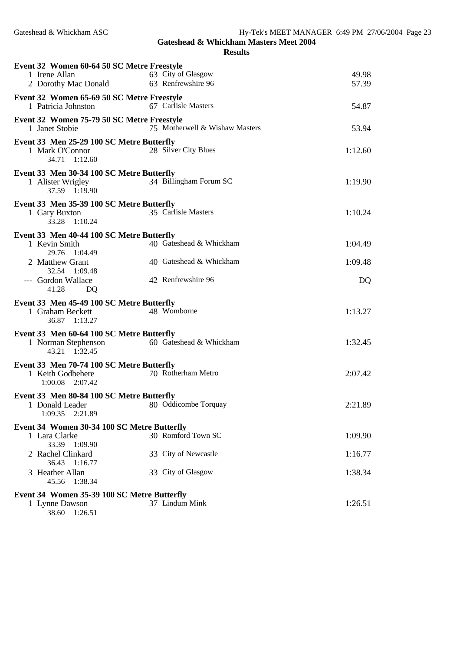| Event 32 Women 60-64 50 SC Metre Freestyle<br>1 Irene Allan<br>2 Dorothy Mac Donald | 63 City of Glasgow<br>63 Renfrewshire 96 | 49.98<br>57.39 |
|-------------------------------------------------------------------------------------|------------------------------------------|----------------|
|                                                                                     |                                          |                |
| Event 32 Women 65-69 50 SC Metre Freestyle<br>1 Patricia Johnston                   | 67 Carlisle Masters                      | 54.87          |
| Event 32 Women 75-79 50 SC Metre Freestyle<br>1 Janet Stobie                        | 75 Motherwell & Wishaw Masters           | 53.94          |
| Event 33 Men 25-29 100 SC Metre Butterfly<br>1 Mark O'Connor<br>34.71  1:12.60      | 28 Silver City Blues                     | 1:12.60        |
| Event 33 Men 30-34 100 SC Metre Butterfly<br>1 Alister Wrigley<br>37.59 1:19.90     | 34 Billingham Forum SC                   | 1:19.90        |
| Event 33 Men 35-39 100 SC Metre Butterfly<br>1 Gary Buxton<br>33.28 1:10.24         | 35 Carlisle Masters                      | 1:10.24        |
| Event 33 Men 40-44 100 SC Metre Butterfly                                           |                                          |                |
| 1 Kevin Smith<br>29.76 1:04.49                                                      | 40 Gateshead & Whickham                  | 1:04.49        |
| 2 Matthew Grant<br>32.54 1:09.48                                                    | 40 Gateshead & Whickham                  | 1:09.48        |
| --- Gordon Wallace<br>41.28<br>DQ                                                   | 42 Renfrewshire 96                       | DQ             |
| Event 33 Men 45-49 100 SC Metre Butterfly                                           |                                          |                |
| 1 Graham Beckett<br>36.87 1:13.27                                                   | 48 Womborne                              | 1:13.27        |
| Event 33 Men 60-64 100 SC Metre Butterfly                                           |                                          |                |
| 1 Norman Stephenson<br>43.21 1:32.45                                                | 60 Gateshead & Whickham                  | 1:32.45        |
| Event 33 Men 70-74 100 SC Metre Butterfly                                           |                                          |                |
| 1 Keith Godbehere<br>1:00.08 2:07.42                                                | 70 Rotherham Metro                       | 2:07.42        |
| Event 33 Men 80-84 100 SC Metre Butterfly                                           |                                          |                |
| 1 Donald Leader<br>1:09.35<br>2:21.89                                               | 80 Oddicombe Torquay                     | 2:21.89        |
| Event 34 Women 30-34 100 SC Metre Butterfly                                         |                                          |                |
| 1 Lara Clarke<br>33.39 1:09.90                                                      | 30 Romford Town SC                       | 1:09.90        |
| 2 Rachel Clinkard<br>36.43 1:16.77                                                  | 33 City of Newcastle                     | 1:16.77        |
| 3 Heather Allan<br>45.56 1:38.34                                                    | 33 City of Glasgow                       | 1:38.34        |
| Event 34 Women 35-39 100 SC Metre Butterfly                                         |                                          |                |
| 1 Lynne Dawson<br>38.60<br>1:26.51                                                  | 37 Lindum Mink                           | 1:26.51        |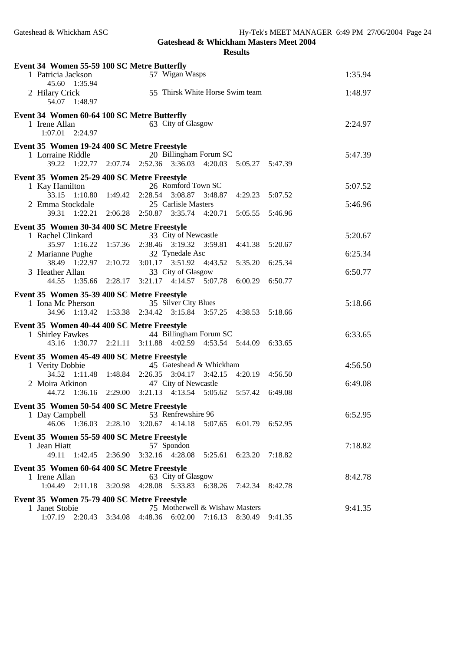| Event 34 Women 55-59 100 SC Metre Butterfly                                                                                  |         |  |  |  |  |
|------------------------------------------------------------------------------------------------------------------------------|---------|--|--|--|--|
| 57 Wigan Wasps<br>1 Patricia Jackson                                                                                         | 1:35.94 |  |  |  |  |
| 45.60 1:35.94<br>55 Thirsk White Horse Swim team<br>2 Hilary Crick                                                           | 1:48.97 |  |  |  |  |
| 54.07 1:48.97                                                                                                                |         |  |  |  |  |
| Event 34 Women 60-64 100 SC Metre Butterfly                                                                                  |         |  |  |  |  |
| 63 City of Glasgow<br>1 Irene Allan                                                                                          | 2:24.97 |  |  |  |  |
| $1:07.01$ $2:24.97$                                                                                                          |         |  |  |  |  |
| Event 35 Women 19-24 400 SC Metre Freestyle                                                                                  | 5:47.39 |  |  |  |  |
| 20 Billingham Forum SC<br>1 Lorraine Riddle<br>2:52.36 3:36.03<br>39.22<br>1:22.77<br>2:07.74<br>4:20.03<br>5:05.27 5:47.39  |         |  |  |  |  |
| Event 35 Women 25-29 400 SC Metre Freestyle                                                                                  |         |  |  |  |  |
| 26 Romford Town SC<br>1 Kay Hamilton                                                                                         | 5:07.52 |  |  |  |  |
| 33.15 1:10.80<br>2:28.54<br>3:08.87<br>1:49.42<br>3:48.87<br>4:29.23<br>5:07.52                                              |         |  |  |  |  |
| 2 Emma Stockdale<br>25 Carlisle Masters                                                                                      | 5:46.96 |  |  |  |  |
| 39.31 1:22.21<br>2:06.28 2:50.87 3:35.74<br>4:20.71<br>5:05.55<br>5:46.96                                                    |         |  |  |  |  |
| Event 35 Women 30-34 400 SC Metre Freestyle<br>33 City of Newcastle<br>1 Rachel Clinkard                                     | 5:20.67 |  |  |  |  |
| 1:57.36<br>2:38.46 3:19.32 3:59.81<br>35.97 1:16.22<br>4:41.38<br>5:20.67                                                    |         |  |  |  |  |
| 32 Tynedale Asc<br>2 Marianne Pughe                                                                                          | 6:25.34 |  |  |  |  |
| 3:01.17 3:51.92 4:43.52<br>38.49 1:22.97<br>2:10.72<br>6:25.34<br>5:35.20                                                    |         |  |  |  |  |
| 33 City of Glasgow<br>3 Heather Allan<br>3:21.17 4:14.57 5:07.78<br>44.55<br>1:35.66<br>2:28.17<br>6:00.29<br>6:50.77        | 6:50.77 |  |  |  |  |
|                                                                                                                              |         |  |  |  |  |
| Event 35 Women 35-39 400 SC Metre Freestyle<br>35 Silver City Blues<br>1 Iona Mc Pherson                                     | 5:18.66 |  |  |  |  |
| 1:53.38 2:34.42 3:15.84 3:57.25 4:38.53<br>34.96<br>1:13.42<br>5:18.66                                                       |         |  |  |  |  |
| Event 35 Women 40-44 400 SC Metre Freestyle                                                                                  |         |  |  |  |  |
| 44 Billingham Forum SC<br>1 Shirley Fawkes                                                                                   | 6:33.65 |  |  |  |  |
| $2:21.11$ $3:11.88$ $4:02.59$<br>43.16 1:30.77<br>4:53.54 5:44.09<br>6:33.65                                                 |         |  |  |  |  |
| Event 35 Women 45-49 400 SC Metre Freestyle                                                                                  |         |  |  |  |  |
| 45 Gateshead & Whickham<br>1 Verity Dobbie<br>34.52 1:11.48<br>1:48.84<br>2:26.35 3:04.17 3:42.15<br>4:20.19<br>4:56.50      | 4:56.50 |  |  |  |  |
| 47 City of Newcastle<br>2 Moira Atkinon                                                                                      | 6:49.08 |  |  |  |  |
| 3:21.13 4:13.54 5:05.62<br>44.72<br>1:36.16<br>2:29.00<br>5:57.42<br>6:49.08                                                 |         |  |  |  |  |
| Event 35 Women 50-54 400 SC Metre Freestyle                                                                                  |         |  |  |  |  |
| 53 Renfrewshire 96<br>1 Day Campbell                                                                                         | 6:52.95 |  |  |  |  |
| 46.06 1:36.03 2:28.10 3:20.67 4:14.18<br>5:07.65 6:01.79 6:52.95                                                             |         |  |  |  |  |
| Event 35 Women 55-59 400 SC Metre Freestyle                                                                                  |         |  |  |  |  |
| 57 Spondon<br>1 Jean Hiatt<br>3:32.16 4:28.08<br>49.11<br>1:42.45<br>2:36.90<br>6:23.20<br>7:18.82<br>5:25.61                | 7:18.82 |  |  |  |  |
| Event 35 Women 60-64 400 SC Metre Freestyle                                                                                  |         |  |  |  |  |
| 1 Irene Allan<br>63 City of Glasgow                                                                                          | 8:42.78 |  |  |  |  |
| 1:04.49<br>2:11.18 3:20.98<br>4:28.08 5:33.83 6:38.26<br>7:42.34<br>8:42.78                                                  |         |  |  |  |  |
| Event 35 Women 75-79 400 SC Metre Freestyle                                                                                  |         |  |  |  |  |
|                                                                                                                              |         |  |  |  |  |
| 75 Motherwell & Wishaw Masters<br>1 Janet Stobie<br>1:07.19 2:20.43 3:34.08<br>4:48.36 6:02.00 7:16.13<br>8:30.49<br>9:41.35 | 9:41.35 |  |  |  |  |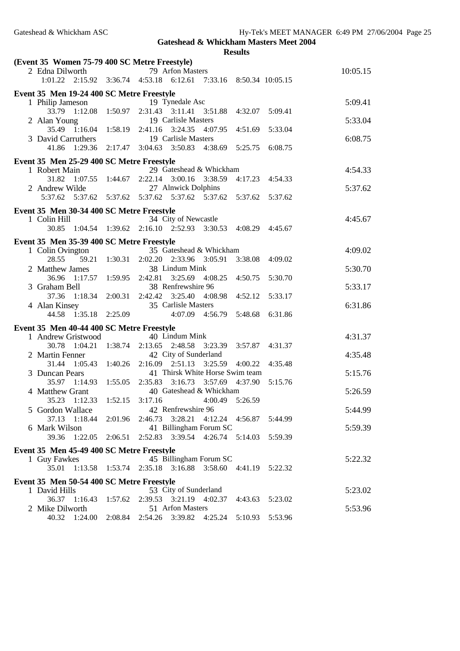| (Event 35 Women 75-79 400 SC Metre Freestyle) |                                           |                 |                                                                                 |          |  |
|-----------------------------------------------|-------------------------------------------|-----------------|---------------------------------------------------------------------------------|----------|--|
|                                               | 2 Edna Dilworth                           |                 | 79 Arfon Masters                                                                | 10:05.15 |  |
|                                               |                                           |                 | 1:01.22 2:15.92 3:36.74 4:53.18 6:12.61 7:33.16 8:50.34 10:05.15                |          |  |
|                                               | Event 35 Men 19-24 400 SC Metre Freestyle |                 |                                                                                 |          |  |
|                                               | 1 Philip Jameson                          |                 | 19 Tynedale Asc                                                                 | 5:09.41  |  |
|                                               |                                           |                 | 33.79 1:12.08 1:50.97 2:31.43 3:11.41 3:51.88<br>4:32.07<br>5:09.41             |          |  |
|                                               | 2 Alan Young                              |                 | 19 Carlisle Masters                                                             | 5:33.04  |  |
|                                               | 35.49 1:16.04 1:58.19 2:41.16             |                 | 3:24.35 4:07.95<br>4:51.69<br>5:33.04                                           |          |  |
|                                               | 3 David Carruthers                        |                 | 19 Carlisle Masters                                                             | 6:08.75  |  |
|                                               | 1:29.36<br>41.86                          | 2:17.47 3:04.63 | 3:50.83 4:38.69<br>5:25.75<br>6:08.75                                           |          |  |
|                                               | Event 35 Men 25-29 400 SC Metre Freestyle |                 |                                                                                 |          |  |
|                                               | 1 Robert Main                             |                 | 29 Gateshead & Whickham                                                         | 4:54.33  |  |
|                                               | 31.82 1:07.55 1:44.67                     |                 | 2:22.14 3:00.16 3:38.59<br>4:17.23 4:54.33                                      |          |  |
|                                               | 2 Andrew Wilde                            |                 | 27 Alnwick Dolphins                                                             | 5:37.62  |  |
|                                               |                                           |                 | 5:37.62   5:37.62   5:37.62   5:37.62   5:37.62   5:37.62<br>5:37.62<br>5:37.62 |          |  |
|                                               | Event 35 Men 30-34 400 SC Metre Freestyle |                 |                                                                                 |          |  |
|                                               | 1 Colin Hill                              |                 | 34 City of Newcastle                                                            | 4:45.67  |  |
|                                               |                                           |                 | 30.85 1:04.54 1:39.62 2:16.10 2:52.93 3:30.53<br>4:08.29<br>4:45.67             |          |  |
|                                               |                                           |                 |                                                                                 |          |  |
|                                               | Event 35 Men 35-39 400 SC Metre Freestyle |                 |                                                                                 |          |  |
|                                               | 1 Colin Ovington                          |                 | 35 Gateshead & Whickham                                                         | 4:09.02  |  |
|                                               | 59.21<br>28.55                            |                 | 1:30.31  2:02.20  2:33.96  3:05.91<br>3:38.08<br>4:09.02                        |          |  |
|                                               | 2 Matthew James                           |                 | 38 Lindum Mink                                                                  | 5:30.70  |  |
|                                               | 1:17.57 1:59.95 2:42.81<br>36.96          |                 | 3:25.69 4:08.25<br>4:50.75<br>5:30.70                                           |          |  |
|                                               | 3 Graham Bell                             |                 | 38 Renfrewshire 96                                                              | 5:33.17  |  |
|                                               | $1:18.34$ $2:00.31$<br>37.36              |                 | 2:42.42 3:25.40 4:08.98<br>4:52.12<br>5:33.17                                   |          |  |
|                                               | 4 Alan Kinsey                             |                 | 35 Carlisle Masters                                                             | 6:31.86  |  |
|                                               | 1:35.18 2:25.09<br>44.58                  |                 | 4:07.09 4:56.79<br>5:48.68<br>6:31.86                                           |          |  |
|                                               | Event 35 Men 40-44 400 SC Metre Freestyle |                 |                                                                                 |          |  |
|                                               | 1 Andrew Gristwood                        |                 | 40 Lindum Mink                                                                  | 4:31.37  |  |
|                                               | 30.78<br>1:04.21                          | 1:38.74         | 2:13.65 2:48.58 3:23.39<br>3:57.87<br>4:31.37                                   |          |  |
|                                               | 2 Martin Fenner                           |                 | 42 City of Sunderland                                                           | 4:35.48  |  |
|                                               | 31.44 1:05.43 1:40.26                     |                 | 2:16.09 2:51.13 3:25.59<br>4:00.22<br>4:35.48                                   |          |  |
|                                               | 3 Duncan Pears                            |                 | 41 Thirsk White Horse Swim team                                                 | 5:15.76  |  |
|                                               | 35.97 1:14.93                             |                 | 1:55.05 2:35.83 3:16.73 3:57.69 4:37.90<br>5:15.76                              |          |  |
|                                               | 4 Matthew Grant                           |                 | 40 Gateshead & Whickham                                                         | 5:26.59  |  |
|                                               |                                           |                 | 35.23 1:12.33 1:52.15 3:17.16 4:00.49 5:26.59                                   |          |  |
|                                               | 5 Gordon Wallace                          |                 | 42 Renfrewshire 96                                                              | 5:44.99  |  |
|                                               |                                           |                 | 37.13 1:18.44 2:01.96 2:46.73 3:28.21<br>4:12.24 4:56.87<br>5:44.99             |          |  |
|                                               | 6 Mark Wilson                             |                 | 41 Billingham Forum SC                                                          | 5:59.39  |  |
|                                               |                                           |                 | 39.36 1:22.05 2:06.51 2:52.83 3:39.54 4:26.74 5:14.03 5:59.39                   |          |  |
|                                               | Event 35 Men 45-49 400 SC Metre Freestyle |                 |                                                                                 |          |  |
|                                               | 1 Guy Fawkes                              |                 | 45 Billingham Forum SC                                                          | 5:22.32  |  |
|                                               | 35.01                                     |                 | 1:13.58  1:53.74  2:35.18  3:16.88  3:58.60  4:41.19<br>5:22.32                 |          |  |
|                                               |                                           |                 |                                                                                 |          |  |
| Event 35 Men 50-54 400 SC Metre Freestyle     |                                           |                 |                                                                                 |          |  |
|                                               | 1 David Hills                             |                 | 53 City of Sunderland                                                           | 5:23.02  |  |
|                                               | 36.37 1:16.43                             | 1:57.62         | 2:39.53 3:21.19 4:02.37<br>4:43.63 5:23.02                                      |          |  |
|                                               | 2 Mike Dilworth                           |                 | 51 Arfon Masters                                                                | 5:53.96  |  |
|                                               |                                           |                 | 40.32 1:24.00 2:08.84 2:54.26 3:39.82 4:25.24 5:10.93 5:53.96                   |          |  |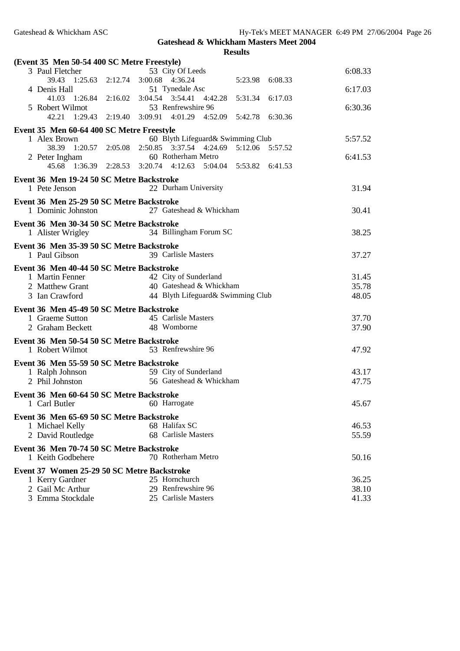| (Event 35 Men 50-54 400 SC Metre Freestyle)                    |  |                                                                               |                 |                |
|----------------------------------------------------------------|--|-------------------------------------------------------------------------------|-----------------|----------------|
| 3 Paul Fletcher                                                |  | 53 City Of Leeds                                                              |                 | 6:08.33        |
| 39.43 1:25.63 2:12.74 3:00.68 4:36.24<br>4 Denis Hall          |  | 51 Tynedale Asc                                                               | 5:23.98 6:08.33 | 6:17.03        |
| 41.03 1:26.84 2:16.02 3:04.54 3:54.41 4:42.28                  |  |                                                                               | 5:31.34 6:17.03 |                |
| 5 Robert Wilmot                                                |  | 53 Renfrewshire 96                                                            |                 | 6:30.36        |
| 42.21 1:29.43 2:19.40 3:09.91 4:01.29 4:52.09 5:42.78 6:30.36  |  |                                                                               |                 |                |
| Event 35 Men 60-64 400 SC Metre Freestyle                      |  |                                                                               |                 |                |
| 1 Alex Brown                                                   |  | 60 Blyth Lifeguard& Swimming Club                                             |                 | 5:57.52        |
| 38.39                                                          |  | $1:20.57$ $2:05.08$ $2:50.85$ $3:37.54$ $4:24.69$                             | 5:12.06 5:57.52 |                |
| 2 Peter Ingham<br>45.68                                        |  | 60 Rotherham Metro<br>1:36.39 2:28.53 3:20.74 4:12.63 5:04.04 5:53.82 6:41.53 |                 | 6:41.53        |
|                                                                |  |                                                                               |                 |                |
| Event 36 Men 19-24 50 SC Metre Backstroke<br>1 Pete Jenson     |  | 22 Durham University                                                          |                 | 31.94          |
| Event 36 Men 25-29 50 SC Metre Backstroke                      |  |                                                                               |                 |                |
| 1 Dominic Johnston                                             |  | 27 Gateshead & Whickham                                                       |                 | 30.41          |
| Event 36 Men 30-34 50 SC Metre Backstroke<br>1 Alister Wrigley |  | 34 Billingham Forum SC                                                        |                 | 38.25          |
| Event 36 Men 35-39 50 SC Metre Backstroke                      |  |                                                                               |                 |                |
| 1 Paul Gibson                                                  |  | 39 Carlisle Masters                                                           |                 | 37.27          |
| Event 36 Men 40-44 50 SC Metre Backstroke                      |  |                                                                               |                 |                |
| 1 Martin Fenner                                                |  | 42 City of Sunderland                                                         |                 | 31.45          |
| 2 Matthew Grant                                                |  | 40 Gateshead & Whickham                                                       |                 | 35.78          |
| 3 Ian Crawford                                                 |  | 44 Blyth Lifeguard& Swimming Club                                             |                 | 48.05          |
| Event 36 Men 45-49 50 SC Metre Backstroke                      |  |                                                                               |                 |                |
| 1 Graeme Sutton                                                |  | 45 Carlisle Masters                                                           |                 | 37.70          |
| 2 Graham Beckett                                               |  | 48 Womborne                                                                   |                 | 37.90          |
| Event 36 Men 50-54 50 SC Metre Backstroke                      |  |                                                                               |                 |                |
| 1 Robert Wilmot                                                |  | 53 Renfrewshire 96                                                            |                 | 47.92          |
| Event 36 Men 55-59 50 SC Metre Backstroke                      |  |                                                                               |                 |                |
| 1 Ralph Johnson                                                |  | 59 City of Sunderland                                                         |                 | 43.17          |
| 2 Phil Johnston                                                |  | 56 Gateshead & Whickham                                                       |                 | 47.75          |
| Event 36 Men 60-64 50 SC Metre Backstroke                      |  |                                                                               |                 |                |
| 1 Carl Butler                                                  |  | 60 Harrogate                                                                  |                 | 45.67          |
| Event 36 Men 65-69 50 SC Metre Backstroke                      |  |                                                                               |                 |                |
| 1 Michael Kelly                                                |  | 68 Halifax SC                                                                 |                 | 46.53          |
| 2 David Routledge                                              |  | 68 Carlisle Masters                                                           |                 | 55.59          |
| Event 36 Men 70-74 50 SC Metre Backstroke<br>1 Keith Godbehere |  | 70 Rotherham Metro                                                            |                 | 50.16          |
|                                                                |  |                                                                               |                 |                |
| Event 37 Women 25-29 50 SC Metre Backstroke                    |  | 25 Hornchurch                                                                 |                 |                |
| 1 Kerry Gardner<br>2 Gail Mc Arthur                            |  | 29 Renfrewshire 96                                                            |                 | 36.25<br>38.10 |
| 3 Emma Stockdale                                               |  | 25 Carlisle Masters                                                           |                 | 41.33          |
|                                                                |  |                                                                               |                 |                |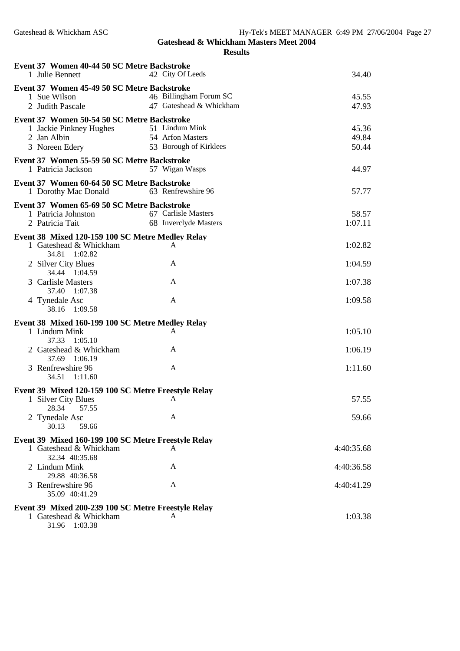| Event 37 Women 40-44 50 SC Metre Backstroke<br>1 Julie Bennett                              | 42 City Of Leeds                             | 34.40            |
|---------------------------------------------------------------------------------------------|----------------------------------------------|------------------|
|                                                                                             |                                              |                  |
| Event 37 Women 45-49 50 SC Metre Backstroke<br>1 Sue Wilson                                 | 46 Billingham Forum SC                       | 45.55            |
| 2 Judith Pascale                                                                            | 47 Gateshead & Whickham                      | 47.93            |
| Event 37 Women 50-54 50 SC Metre Backstroke                                                 |                                              |                  |
| 1 Jackie Pinkney Hughes                                                                     | 51 Lindum Mink                               | 45.36            |
| 2 Jan Albin                                                                                 | 54 Arfon Masters                             | 49.84            |
| 3 Noreen Edery                                                                              | 53 Borough of Kirklees                       | 50.44            |
| Event 37 Women 55-59 50 SC Metre Backstroke<br>1 Patricia Jackson                           | 57 Wigan Wasps                               | 44.97            |
| Event 37 Women 60-64 50 SC Metre Backstroke                                                 |                                              |                  |
| 1 Dorothy Mac Donald                                                                        | 63 Renfrewshire 96                           | 57.77            |
| Event 37 Women 65-69 50 SC Metre Backstroke                                                 |                                              |                  |
| 1 Patricia Johnston<br>2 Patricia Tait                                                      | 67 Carlisle Masters<br>68 Inverclyde Masters | 58.57<br>1:07.11 |
|                                                                                             |                                              |                  |
| Event 38 Mixed 120-159 100 SC Metre Medley Relay<br>1 Gateshead & Whickham<br>34.81 1:02.82 | A                                            | 1:02.82          |
| 2 Silver City Blues<br>34.44 1:04.59                                                        | A                                            | 1:04.59          |
| 3 Carlisle Masters<br>37.40 1:07.38                                                         | A                                            | 1:07.38          |
| 4 Tynedale Asc<br>38.16 1:09.58                                                             | A                                            | 1:09.58          |
| Event 38 Mixed 160-199 100 SC Metre Medley Relay                                            |                                              |                  |
| 1 Lindum Mink<br>37.33 1:05.10                                                              | A                                            | 1:05.10          |
| 2 Gateshead & Whickham<br>37.69 1:06.19                                                     | A                                            | 1:06.19          |
| 3 Renfrewshire 96<br>34.51<br>1:11.60                                                       | $\mathbf{A}$                                 | 1:11.60          |
| Event 39 Mixed 120-159 100 SC Metre Freestyle Relay                                         |                                              |                  |
| 1 Silver City Blues<br>28.34 57.55                                                          | A                                            | 57.55            |
| 2 Tynedale Asc<br>30.13<br>59.66                                                            | A                                            | 59.66            |
| Event 39 Mixed 160-199 100 SC Metre Freestyle Relay                                         |                                              |                  |
| 1 Gateshead & Whickham<br>32.34 40:35.68                                                    | A                                            | 4:40:35.68       |
| 2 Lindum Mink<br>29.88 40:36.58                                                             | A                                            | 4:40:36.58       |
| 3 Renfrewshire 96<br>35.09 40:41.29                                                         | A                                            | 4:40:41.29       |
| Event 39 Mixed 200-239 100 SC Metre Freestyle Relay                                         |                                              |                  |
| 1 Gateshead & Whickham<br>31.96 1:03.38                                                     | A                                            | 1:03.38          |